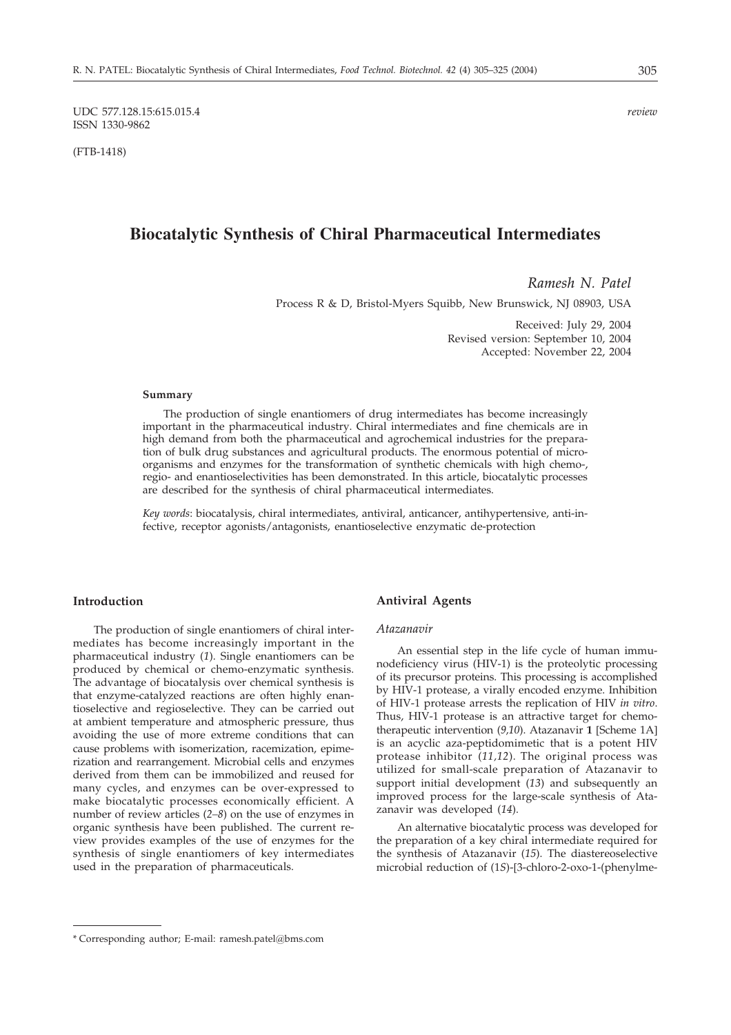UDC 577.128.15:615.015.4 *review* ISSN 1330-9862

(FTB-1418)

# **Biocatalytic Synthesis of Chiral Pharmaceutical Intermediates**

*Ramesh N. Patel*

Process R & D, Bristol-Myers Squibb, New Brunswick, NJ 08903, USA

Received: July 29, 2004 Revised version: September 10, 2004 Accepted: November 22, 2004

### **Summary**

The production of single enantiomers of drug intermediates has become increasingly important in the pharmaceutical industry. Chiral intermediates and fine chemicals are in high demand from both the pharmaceutical and agrochemical industries for the preparation of bulk drug substances and agricultural products. The enormous potential of microorganisms and enzymes for the transformation of synthetic chemicals with high chemo-, regio- and enantioselectivities has been demonstrated. In this article, biocatalytic processes are described for the synthesis of chiral pharmaceutical intermediates.

*Key words*: biocatalysis, chiral intermediates, antiviral, anticancer, antihypertensive, anti-infective, receptor agonists/antagonists, enantioselective enzymatic de-protection

## **Introduction**

The production of single enantiomers of chiral intermediates has become increasingly important in the pharmaceutical industry (*1*). Single enantiomers can be produced by chemical or chemo-enzymatic synthesis. The advantage of biocatalysis over chemical synthesis is that enzyme-catalyzed reactions are often highly enantioselective and regioselective. They can be carried out at ambient temperature and atmospheric pressure, thus avoiding the use of more extreme conditions that can cause problems with isomerization, racemization, epimerization and rearrangement. Microbial cells and enzymes derived from them can be immobilized and reused for many cycles, and enzymes can be over-expressed to make biocatalytic processes economically efficient. A number of review articles (*2–8*) on the use of enzymes in organic synthesis have been published. The current review provides examples of the use of enzymes for the synthesis of single enantiomers of key intermediates used in the preparation of pharmaceuticals.

## **Antiviral Agents**

#### *Atazanavir*

An essential step in the life cycle of human immunodeficiency virus (HIV-1) is the proteolytic processing of its precursor proteins. This processing is accomplished by HIV-1 protease, a virally encoded enzyme. Inhibition of HIV-1 protease arrests the replication of HIV *in vitro*. Thus, HIV-1 protease is an attractive target for chemotherapeutic intervention (9,10). Atazanavir 1 [Scheme 1A] is an acyclic aza-peptidomimetic that is a potent HIV protease inhibitor (*11,12*). The original process was utilized for small-scale preparation of Atazanavir to support initial development (*13*) and subsequently an improved process for the large-scale synthesis of Atazanavir was developed (*14*).

An alternative biocatalytic process was developed for the preparation of a key chiral intermediate required for the synthesis of Atazanavir (*15*). The diastereoselective microbial reduction of (1*S*)-[3-chloro-2-oxo-1-(phenylme-

<sup>\*</sup> Corresponding author; E-mail: ramesh.patel*@*bms.com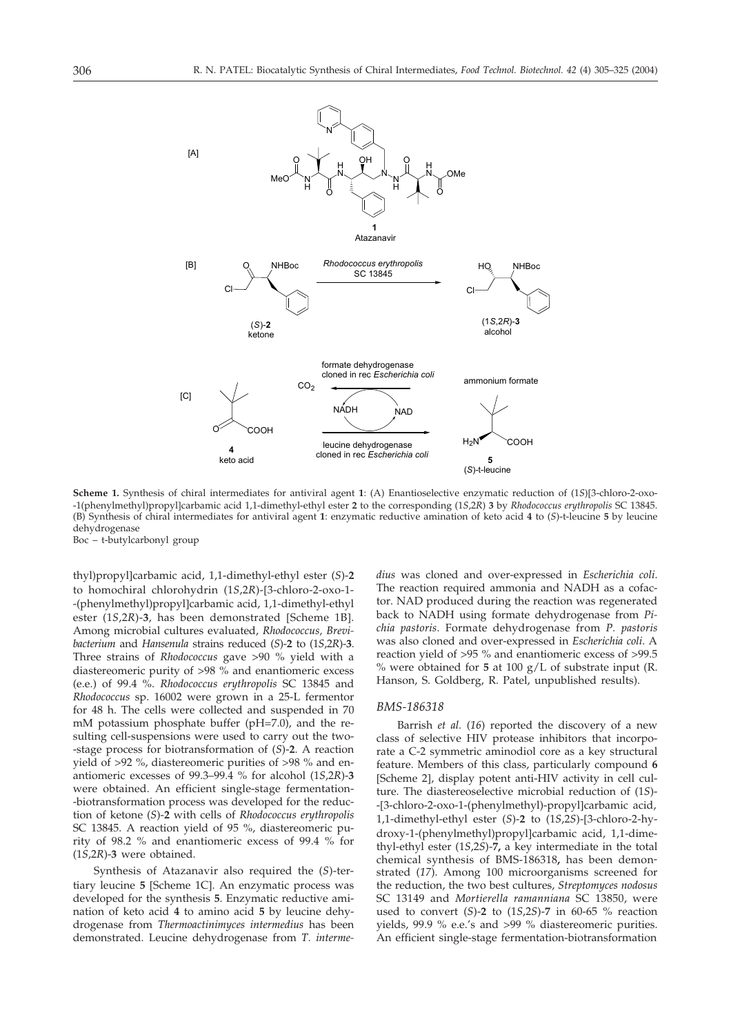

**Scheme 1.** Synthesis of chiral intermediates for antiviral agent **1**: (A) Enantioselective enzymatic reduction of (1*S*)3-chloro-2-oxo- -1(phenylmethyl)propyl]carbamic acid 1,1-dimethyl-ethyl ester 2 to the corresponding (15,2R) 3 by *Rhodococcus erythropolis* SC 13845. (B) Synthesis of chiral intermediates for antiviral agent **1**: enzymatic reductive amination of keto acid **4** to (*S*)-t-leucine **5** by leucine dehydrogenase

Boc – t-butylcarbonyl group

thyl)propyl]carbamic acid, 1,1-dimethyl-ethyl ester (*S*)-2 to homochiral chlorohydrin (1*S*,2*R*)-[3-chloro-2-oxo-1--(phenylmethyl)propyl]carbamic acid, 1,1-dimethyl-ethyl ester (1*S*,2*R*)-3, has been demonstrated [Scheme 1B]. Among microbial cultures evaluated, *Rhodococcus, Brevibacterium* and *Hansenula* strains reduced (*S*)-**2** to (1*S*,2*R*)-**3**. Three strains of *Rhodococcus* gave >90 % yield with a diastereomeric purity of >98 % and enantiomeric excess (e.e.) of 99.4 %. *Rhodococcus erythropolis* SC 13845 and *Rhodococcus* sp. 16002 were grown in a 25-L fermentor for 48 h. The cells were collected and suspended in 70 mM potassium phosphate buffer (pH=7.0), and the resulting cell-suspensions were used to carry out the two- -stage process for biotransformation of (*S*)-**2**. A reaction yield of >92 %, diastereomeric purities of >98 % and enantiomeric excesses of 99.3–99.4 % for alcohol (1*S*,2*R*)-**3** were obtained. An efficient single-stage fermentation- -biotransformation process was developed for the reduction of ketone (*S*)-**2** with cells of *Rhodococcus erythropolis* SC 13845. A reaction yield of 95 %, diastereomeric purity of 98.2 % and enantiomeric excess of 99.4 % for (1*S*,2*R*)-**3** were obtained.

Synthesis of Atazanavir also required the (*S*)-tertiary leucine 5 [Scheme 1C]. An enzymatic process was developed for the synthesis **5**. Enzymatic reductive amination of keto acid **4** to amino acid **5** by leucine dehydrogenase from *Thermoactinimyces intermedius* has been demonstrated. Leucine dehydrogenase from *T. interme-* *dius* was cloned and over-expressed in *Escherichia coli*. The reaction required ammonia and NADH as a cofactor. NAD produced during the reaction was regenerated back to NADH using formate dehydrogenase from *Pichia pastoris*. Formate dehydrogenase from *P. pastoris* was also cloned and over-expressed in *Escherichia coli*. A reaction yield of >95 % and enantiomeric excess of >99.5 % were obtained for **5** at 100 g/L of substrate input (R. Hanson, S. Goldberg, R. Patel, unpublished results).

### *BMS-186318*

Barrish *et al.* (*16*) reported the discovery of a new class of selective HIV protease inhibitors that incorporate a C-2 symmetric aminodiol core as a key structural feature. Members of this class, particularly compound **6** [Scheme 2], display potent anti-HIV activity in cell culture. The diastereoselective microbial reduction of (1*S*)- -[3-chloro-2-oxo-1-(phenylmethyl)-propyl]carbamic acid, 1,1-dimethyl-ethyl ester (*S*)-**2** to (1*S*,2*S*)-3-chloro-2-hydroxy-1-(phenylmethyl)propyl]carbamic acid, 1,1-dimethyl-ethyl ester (1*S*,2*S*)-**7,** a key intermediate in the total chemical synthesis of BMS-186318**,** has been demonstrated (*17*). Among 100 microorganisms screened for the reduction, the two best cultures, *Streptomyces nodosus* SC 13149 and *Mortierella ramanniana* SC 13850, were used to convert (*S*)-**2** to (1*S*,2*S*)-**7** in 60-65 % reaction yields, 99.9 % e.e.'s and >99 % diastereomeric purities. An efficient single-stage fermentation-biotransformation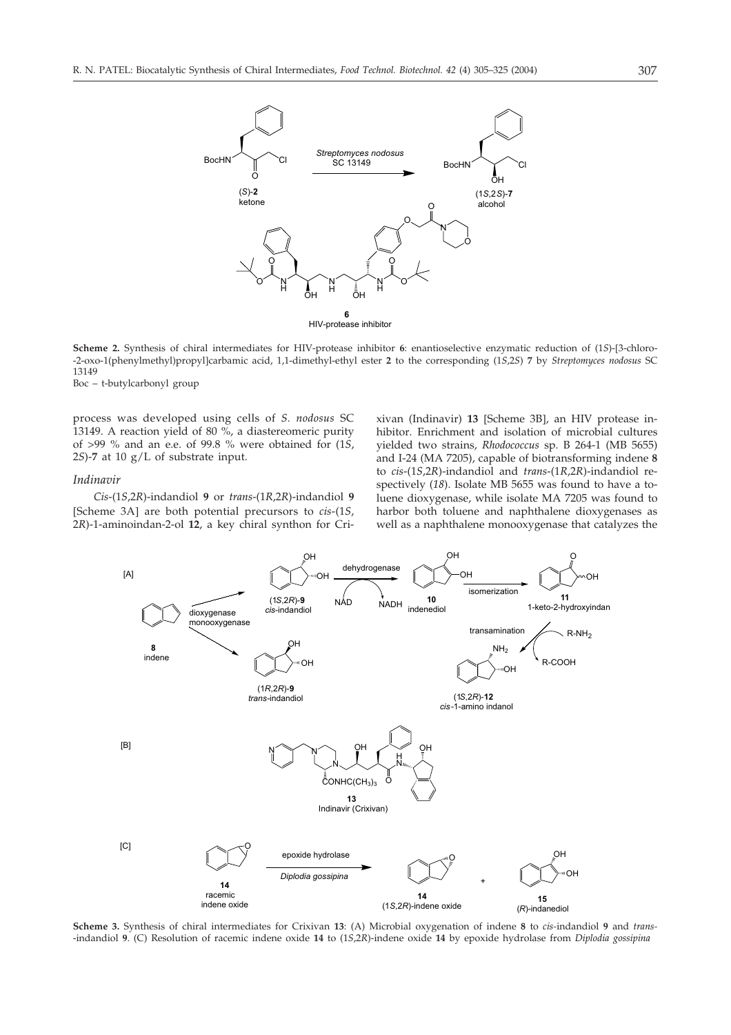

**Scheme 2.** Synthesis of chiral intermediates for HIV-protease inhibitor **6**: enantioselective enzymatic reduction of (1*S*)-3-chloro- -2-oxo-1(phenylmethyl)propyl]carbamic acid, 1,1-dimethyl-ethyl ester 2 to the corresponding (15,25) 7 by *Streptomyces nodosus* SC 13149

Boc – t-butylcarbonyl group

process was developed using cells of *S. nodosus* SC 13149. A reaction yield of 80 %, a diastereomeric purity of >99 % and an e.e. of 99.8 % were obtained for (1*S*, 2*S*)-**7** at 10 g/L of substrate input.

## *Indinavir*

*Cis*-(1*S*,2*R*)-indandiol **9** or *trans*-(1*R*,2*R*)-indandiol **9** [Scheme 3A] are both potential precursors to *cis*-(1*S*, 2*R*)-1-aminoindan-2-ol **12**, a key chiral synthon for Cri-

xivan (Indinavir) **13** [Scheme 3B], an HIV protease inhibitor. Enrichment and isolation of microbial cultures yielded two strains, *Rhodococcus* sp. B 264-1 (MB 5655) and I-24 (MA 7205), capable of biotransforming indene **8** to *cis*-(1*S*,2*R*)-indandiol and *trans*-(1*R*,2*R*)-indandiol respectively (*18*). Isolate MB 5655 was found to have a toluene dioxygenase, while isolate MA 7205 was found to harbor both toluene and naphthalene dioxygenases as well as a naphthalene monooxygenase that catalyzes the



**Scheme 3.** Synthesis of chiral intermediates for Crixivan **13**: (A) Microbial oxygenation of indene **8** to *cis-*indandiol **9** and *trans-* -indandiol **9**. (C) Resolution of racemic indene oxide **14** to (1*S*,2*R*)-indene oxide **14** by epoxide hydrolase from *Diplodia gossipina*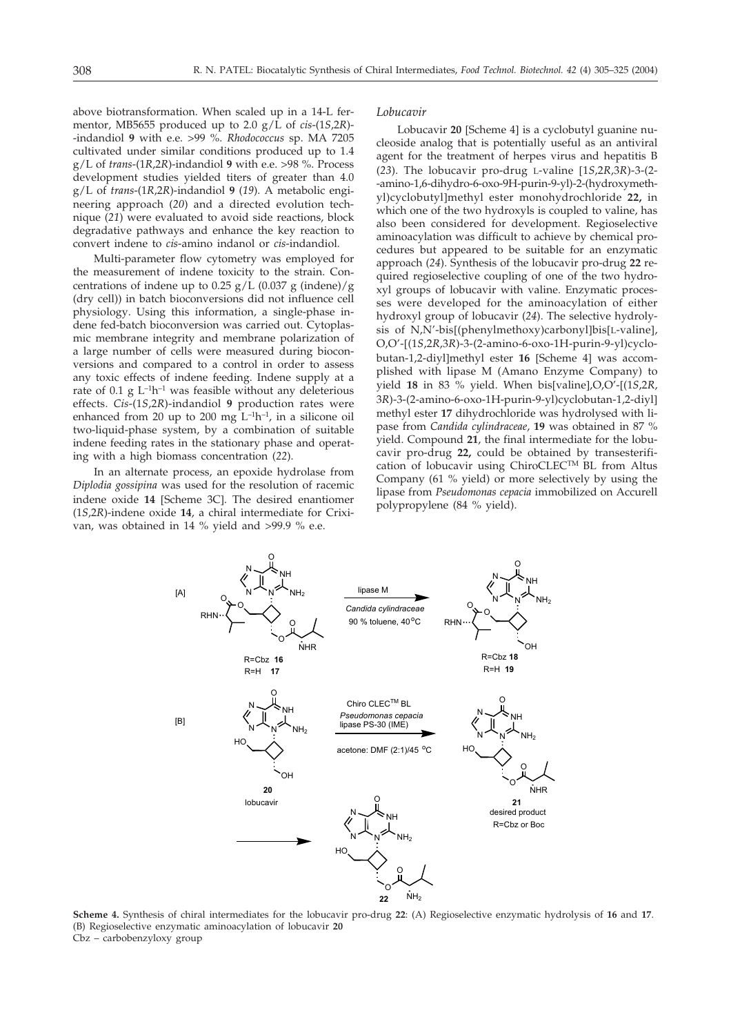above biotransformation. When scaled up in a 14-L fermentor, MB5655 produced up to 2.0 g/L of *cis*-(1*S*,2*R*)- -indandiol **9** with e.e. >99 %. *Rhodococcus* sp. MA 7205 cultivated under similar conditions produced up to 1.4 g/L of *trans*-(1*R*,2*R*)-indandiol **9** with e.e. >98 %. Process development studies yielded titers of greater than 4.0 g/L of *trans*-(1*R*,2*R*)-indandiol **9** (*19*). A metabolic engineering approach (*20*) and a directed evolution technique (*21*) were evaluated to avoid side reactions, block degradative pathways and enhance the key reaction to convert indene to *cis*-amino indanol or *cis*-indandiol.

Multi-parameter flow cytometry was employed for the measurement of indene toxicity to the strain. Concentrations of indene up to 0.25  $g/L$  (0.037 g (indene)/g (dry cell)) in batch bioconversions did not influence cell physiology. Using this information, a single-phase indene fed-batch bioconversion was carried out. Cytoplasmic membrane integrity and membrane polarization of a large number of cells were measured during bioconversions and compared to a control in order to assess any toxic effects of indene feeding. Indene supply at a rate of 0.1 g  $L^{-1}h^{-1}$  was feasible without any deleterious effects. *Cis*-(1*S*,2*R*)-indandiol **9** production rates were enhanced from 20 up to 200 mg  $L^{-1}h^{-1}$ , in a silicone oil two-liquid-phase system, by a combination of suitable indene feeding rates in the stationary phase and operating with a high biomass concentration (*22*).

In an alternate process, an epoxide hydrolase from *Diplodia gossipina* was used for the resolution of racemic indene oxide 14 [Scheme 3C]. The desired enantiomer (1*S*,2*R*)-indene oxide **14**, a chiral intermediate for Crixivan, was obtained in 14 % yield and >99.9 % e.e.

#### *Lobucavir*

Lobucavir 20 [Scheme 4] is a cyclobutyl guanine nucleoside analog that is potentially useful as an antiviral agent for the treatment of herpes virus and hepatitis B (*23*). The lobucavir pro-drug L-valine 1*S*,2*R*,3*R*)-3-(2- -amino-1,6-dihydro-6-oxo-9H-purin-9-yl)-2-(hydroxymethyl)cyclobutyl-methyl ester monohydrochloride **22,** in which one of the two hydroxyls is coupled to valine, has also been considered for development. Regioselective aminoacylation was difficult to achieve by chemical procedures but appeared to be suitable for an enzymatic approach (*24*). Synthesis of the lobucavir pro-drug **22** required regioselective coupling of one of the two hydroxyl groups of lobucavir with valine. Enzymatic processes were developed for the aminoacylation of either hydroxyl group of lobucavir (*24*). The selective hydrolysis of N,N'-bis[(phenylmethoxy)carbonyl]bis[L-valine], O,O'-(1*S*,2*R*,3*R*)-3-(2-amino-6-oxo-1H-purin-9-yl)cyclobutan-1,2-diyl]methyl ester 16 [Scheme 4] was accomplished with lipase M (Amano Enzyme Company) to yield **18** in 83 % yield. When bis[valine],O,O'-[(1*S,*2*R,* 3*R*)-3-(2-amino-6-oxo-1H-purin-9-yl)cyclobutan-1,2-diyl methyl ester **17** dihydrochloride was hydrolysed with lipase from *Candida cylindraceae*, **19** was obtained in 87 % yield. Compound **21**, the final intermediate for the lobucavir pro-drug **22,** could be obtained by transesterification of lobucavir using ChiroCLECTM BL from Altus Company (61 % yield) or more selectively by using the lipase from *Pseudomonas cepacia* immobilized on Accurell polypropylene (84 % yield).



**Scheme 4.** Synthesis of chiral intermediates for the lobucavir pro-drug **22**: (A) Regioselective enzymatic hydrolysis of **16** and **17**. (B) Regioselective enzymatic aminoacylation of lobucavir **20** Cbz – carbobenzyloxy group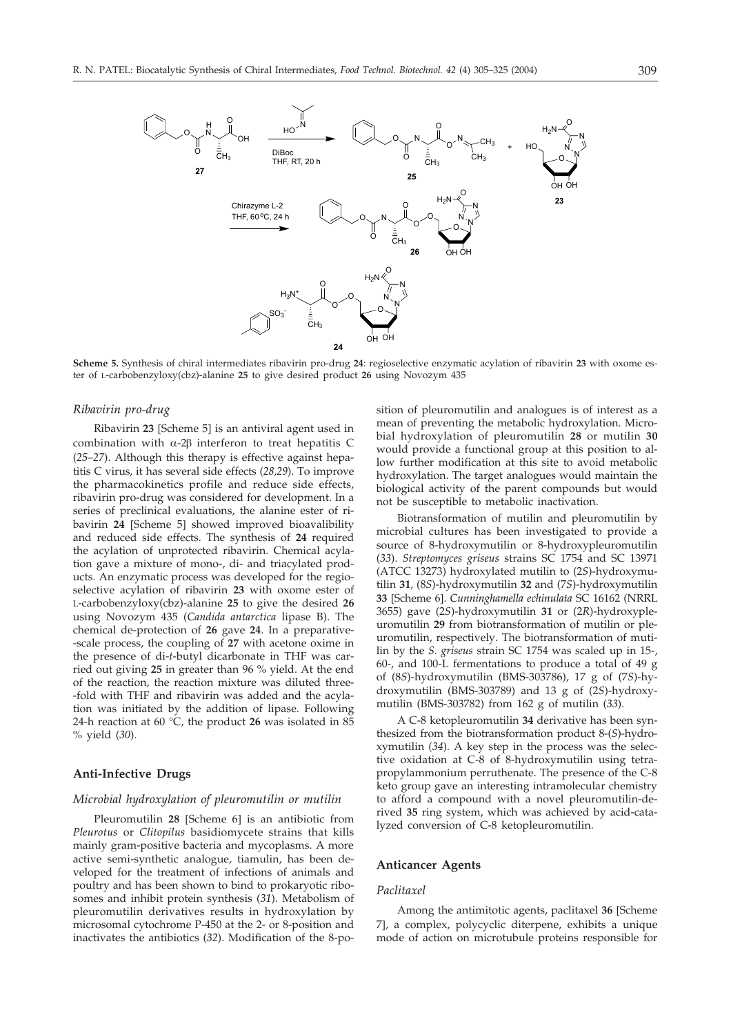

**Scheme 5.** Synthesis of chiral intermediates ribavirin pro-drug **24**: regioselective enzymatic acylation of ribavirin **23** with oxome ester of L-carbobenzyloxy(cbz)-alanine **25** to give desired product **26** using Novozym 435

## *Ribavirin pro-drug*

Ribavirin 23 [Scheme 5] is an antiviral agent used in combination with  $\alpha$ -2 $\beta$  interferon to treat hepatitis C (*25–27*). Although this therapy is effective against hepatitis C virus, it has several side effects (*28,29*). To improve the pharmacokinetics profile and reduce side effects, ribavirin pro-drug was considered for development. In a series of preclinical evaluations, the alanine ester of ribavirin **24** [Scheme 5] showed improved bioavalibility and reduced side effects. The synthesis of **24** required the acylation of unprotected ribavirin. Chemical acylation gave a mixture of mono-, di- and triacylated products. An enzymatic process was developed for the regioselective acylation of ribavirin **23** with oxome ester of L-carbobenzyloxy(cbz)-alanine **25** to give the desired **26** using Novozym 435 (*Candida antarctica* lipase B). The chemical de-protection of **26** gave **24**. In a preparative- -scale process, the coupling of **27** with acetone oxime in the presence of di-*t*-butyl dicarbonate in THF was carried out giving **25** in greater than 96 % yield. At the end of the reaction, the reaction mixture was diluted three- -fold with THF and ribavirin was added and the acylation was initiated by the addition of lipase. Following 24-h reaction at 60 °C, the product **26** was isolated in 85 % yield (*30*).

### **Anti-Infective Drugs**

### *Microbial hydroxylation of pleuromutilin or mutilin*

Pleuromutilin 28 [Scheme 6] is an antibiotic from *Pleurotus* or *Clitopilus* basidiomycete strains that kills mainly gram-positive bacteria and mycoplasms. A more active semi-synthetic analogue, tiamulin, has been developed for the treatment of infections of animals and poultry and has been shown to bind to prokaryotic ribosomes and inhibit protein synthesis (*31*). Metabolism of pleuromutilin derivatives results in hydroxylation by microsomal cytochrome P-450 at the 2- or 8-position and inactivates the antibiotics (*32*). Modification of the 8-position of pleuromutilin and analogues is of interest as a mean of preventing the metabolic hydroxylation. Microbial hydroxylation of pleuromutilin **28** or mutilin **30** would provide a functional group at this position to allow further modification at this site to avoid metabolic hydroxylation. The target analogues would maintain the biological activity of the parent compounds but would not be susceptible to metabolic inactivation.

Biotransformation of mutilin and pleuromutilin by microbial cultures has been investigated to provide a source of 8-hydroxymutilin or 8-hydroxypleuromutilin (*33*). *Streptomyces griseus* strains SC 1754 and SC 13971 (ATCC 13273) hydroxylated mutilin to (2*S*)-hydroxymutilin **31**, (8*S*)-hydroxymutilin **32** and (7*S*)-hydroxymutilin 33 [Scheme 6]. Cunninghamella echinulata SC 16162 (NRRL 3655) gave (2*S*)-hydroxymutilin **31** or (2*R*)-hydroxypleuromutilin **29** from biotransformation of mutilin or pleuromutilin, respectively. The biotransformation of mutilin by the *S. griseus* strain SC 1754 was scaled up in 15-, 60-, and 100-L fermentations to produce a total of 49 g of (8*S*)-hydroxymutilin (BMS-303786), 17 g of (7*S*)-hydroxymutilin (BMS-303789) and 13 g of (2*S*)-hydroxymutilin (BMS-303782) from 162 g of mutilin (*33*).

A C-8 ketopleuromutilin **34** derivative has been synthesized from the biotransformation product 8-(*S*)-hydroxymutilin (*34*). A key step in the process was the selective oxidation at C-8 of 8-hydroxymutilin using tetrapropylammonium perruthenate. The presence of the C-8 keto group gave an interesting intramolecular chemistry to afford a compound with a novel pleuromutilin-derived **35** ring system, which was achieved by acid-catalyzed conversion of C-8 ketopleuromutilin.

### **Anticancer Agents**

### *Paclitaxel*

Among the antimitotic agents, paclitaxel 36 [Scheme 7], a complex, polycyclic diterpene, exhibits a unique mode of action on microtubule proteins responsible for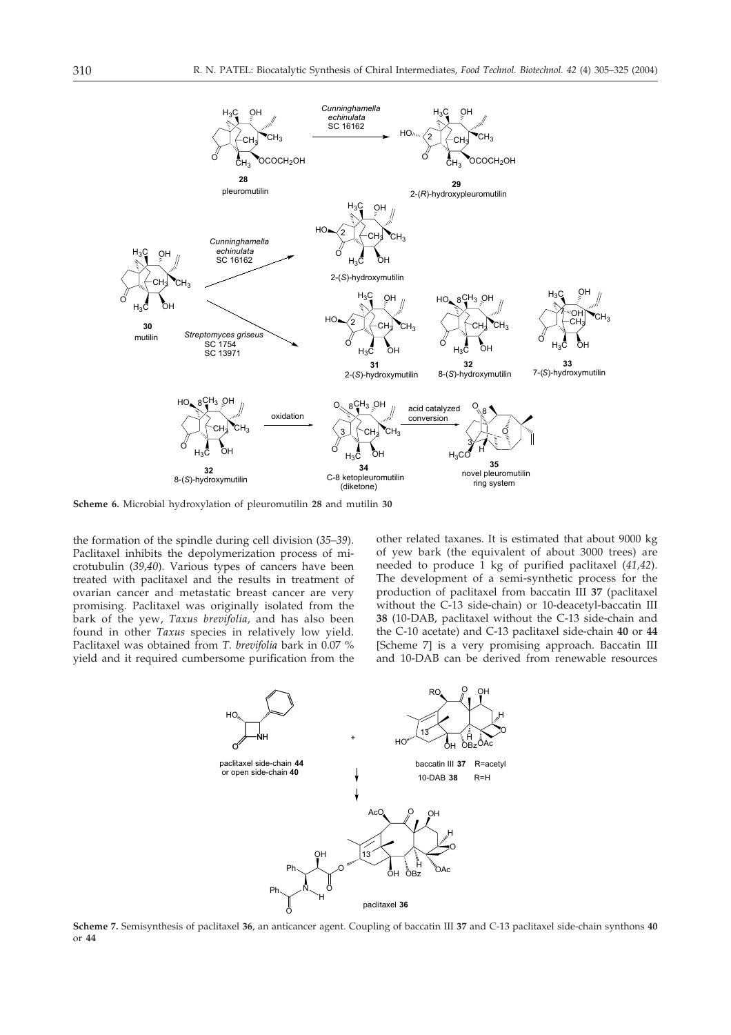

**Scheme 6.** Microbial hydroxylation of pleuromutilin **28** and mutilin **30**

the formation of the spindle during cell division (*35–39*). Paclitaxel inhibits the depolymerization process of microtubulin (*39,40*). Various types of cancers have been treated with paclitaxel and the results in treatment of ovarian cancer and metastatic breast cancer are very promising. Paclitaxel was originally isolated from the bark of the yew, *Taxus brevifolia,* and has also been found in other *Taxus* species in relatively low yield. Paclitaxel was obtained from *T. brevifolia* bark in 0.07 % yield and it required cumbersome purification from the other related taxanes. It is estimated that about 9000 kg of yew bark (the equivalent of about 3000 trees) are needed to produce 1 kg of purified paclitaxel (*41,42*). The development of a semi-synthetic process for the production of paclitaxel from baccatin III **37** (paclitaxel without the C-13 side-chain) or 10-deacetyl-baccatin III **38** (10-DAB, paclitaxel without the C-13 side-chain and the C-10 acetate) and C-13 paclitaxel side-chain **40** or **44** [Scheme 7] is a very promising approach. Baccatin III and 10-DAB can be derived from renewable resources



**Scheme 7.** Semisynthesis of paclitaxel **36**, an anticancer agent. Coupling of baccatin III **37** and C-13 paclitaxel side-chain synthons **40** or **44**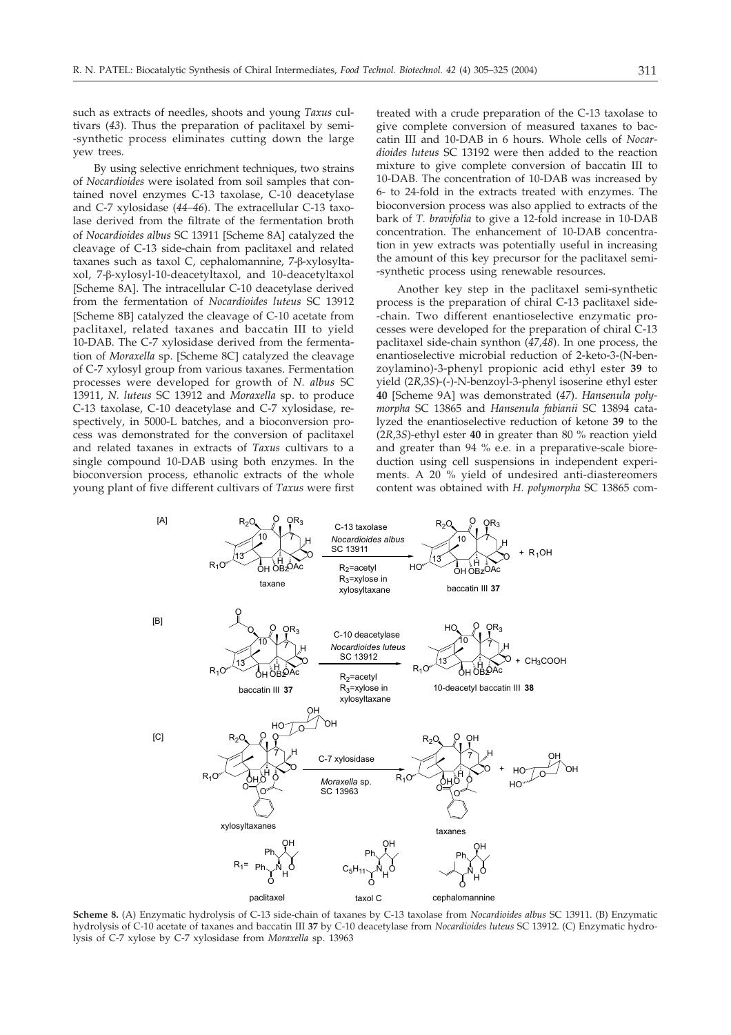such as extracts of needles, shoots and young *Taxus* cultivars (*43*). Thus the preparation of paclitaxel by semi- -synthetic process eliminates cutting down the large yew trees.

By using selective enrichment techniques, two strains of *Nocardioides* were isolated from soil samples that contained novel enzymes C-13 taxolase, C-10 deacetylase and C-7 xylosidase (*44–46*). The extracellular C-13 taxolase derived from the filtrate of the fermentation broth of *Nocardioides albus* SC 13911 [Scheme 8A] catalyzed the cleavage of C-13 side-chain from paclitaxel and related taxanes such as taxol C, cephalomannine, 7-ß-xylosyltaxol, 7-ß-xylosyl-10-deacetyltaxol, and 10-deacetyltaxol [Scheme 8A]. The intracellular C-10 deacetylase derived from the fermentation of *Nocardioides luteus* SC 13912 [Scheme 8B] catalyzed the cleavage of C-10 acetate from paclitaxel, related taxanes and baccatin III to yield 10-DAB. The C-7 xylosidase derived from the fermentation of Moraxella sp. [Scheme 8C] catalyzed the cleavage of C-7 xylosyl group from various taxanes. Fermentation processes were developed for growth of *N. albus* SC 13911, *N. luteus* SC 13912 and *Moraxella* sp. to produce C-13 taxolase, C-10 deacetylase and C-7 xylosidase, respectively, in 5000-L batches, and a bioconversion process was demonstrated for the conversion of paclitaxel and related taxanes in extracts of *Taxus* cultivars to a single compound 10-DAB using both enzymes. In the bioconversion process, ethanolic extracts of the whole young plant of five different cultivars of *Taxus* were first treated with a crude preparation of the C-13 taxolase to give complete conversion of measured taxanes to baccatin III and 10-DAB in 6 hours. Whole cells of *Nocardioides luteus* SC 13192 were then added to the reaction mixture to give complete conversion of baccatin III to 10-DAB. The concentration of 10-DAB was increased by 6- to 24-fold in the extracts treated with enzymes. The bioconversion process was also applied to extracts of the bark of *T. bravifolia* to give a 12-fold increase in 10-DAB concentration. The enhancement of 10-DAB concentration in yew extracts was potentially useful in increasing the amount of this key precursor for the paclitaxel semi- -synthetic process using renewable resources.

Another key step in the paclitaxel semi-synthetic process is the preparation of chiral C-13 paclitaxel side- -chain. Two different enantioselective enzymatic processes were developed for the preparation of chiral C-13 paclitaxel side-chain synthon (*47,48*). In one process, the enantioselective microbial reduction of 2-keto-3-(N-benzoylamino)-3-phenyl propionic acid ethyl ester **39** to yield (2*R*,3*S*)-(-)-N-benzoyl-3-phenyl isoserine ethyl ester 40 [Scheme 9A] was demonstrated (47). *Hansenula polymorpha* SC 13865 and *Hansenula fabianii* SC 13894 catalyzed the enantioselective reduction of ketone **39** to the (2*R*,3*S*)-ethyl ester **40** in greater than 80 % reaction yield and greater than 94 % e.e. in a preparative-scale bioreduction using cell suspensions in independent experiments. A 20 % yield of undesired anti-diastereomers content was obtained with *H. polymorpha* SC 13865 com-



**Scheme 8.** (A) Enzymatic hydrolysis of C-13 side-chain of taxanes by C-13 taxolase from *Nocardioides albus* SC 13911. (B) Enzymatic hydrolysis of C-10 acetate of taxanes and baccatin III **37** by C-10 deacetylase from *Nocardioides luteus* SC 13912. (C) Enzymatic hydrolysis of C-7 xylose by C-7 xylosidase from *Moraxella* sp. 13963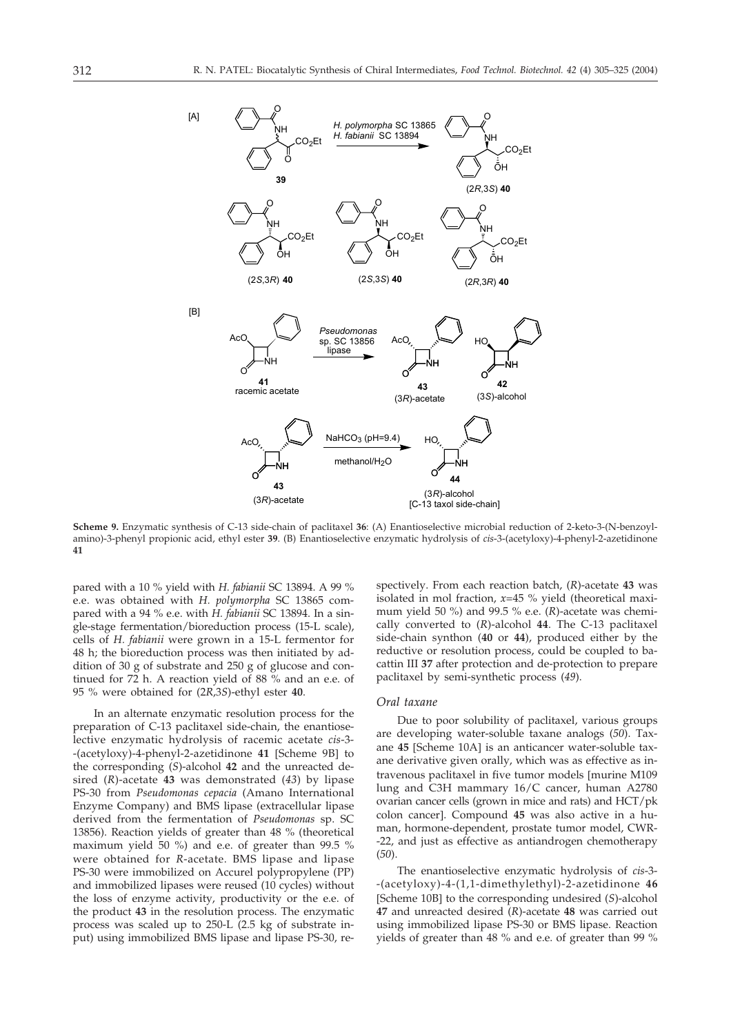

**Scheme 9.** Enzymatic synthesis of C-13 side-chain of paclitaxel **36**: (A) Enantioselective microbial reduction of 2-keto-3-(N-benzoylamino)-3-phenyl propionic acid, ethyl ester **39**. (B) Enantioselective enzymatic hydrolysis of *cis*-3-(acetyloxy)-4-phenyl-2-azetidinone **41**

pared with a 10 % yield with *H. fabianii* SC 13894. A 99 % e.e. was obtained with *H. polymorpha* SC 13865 compared with a 94 % e.e. with *H. fabianii* SC 13894. In a single-stage fermentation/bioreduction process (15-L scale), cells of *H. fabianii* were grown in a 15-L fermentor for 48 h; the bioreduction process was then initiated by addition of 30 g of substrate and 250 g of glucose and continued for 72 h. A reaction yield of 88 % and an e.e. of 95 % were obtained for (2*R*,3*S*)-ethyl ester **40**.

In an alternate enzymatic resolution process for the preparation of C-13 paclitaxel side-chain, the enantioselective enzymatic hydrolysis of racemic acetate *cis*-3- -(acetyloxy)-4-phenyl-2-azetidinone **41** [Scheme 9B] to the corresponding (*S*)-alcohol **42** and the unreacted desired (*R*)-acetate **43** was demonstrated (*43*) by lipase PS-30 from *Pseudomonas cepacia* (Amano International Enzyme Company) and BMS lipase (extracellular lipase derived from the fermentation of *Pseudomonas* sp. SC 13856). Reaction yields of greater than 48 % (theoretical maximum yield 50 %) and e.e. of greater than 99.5 % were obtained for *R*-acetate. BMS lipase and lipase PS-30 were immobilized on Accurel polypropylene (PP) and immobilized lipases were reused (10 cycles) without the loss of enzyme activity, productivity or the e.e. of the product **43** in the resolution process. The enzymatic process was scaled up to 250-L (2.5 kg of substrate input) using immobilized BMS lipase and lipase PS-30, respectively. From each reaction batch, (*R*)-acetate **43** was isolated in mol fraction, *x*=45 % yield (theoretical maximum yield 50 %) and 99.5 % e.e. (*R*)-acetate was chemically converted to (*R*)-alcohol **44**. The C-13 paclitaxel side-chain synthon (**40** or **44**), produced either by the reductive or resolution process, could be coupled to bacattin III **37** after protection and de-protection to prepare paclitaxel by semi-synthetic process (*49*).

### *Oral taxane*

Due to poor solubility of paclitaxel, various groups are developing water-soluble taxane analogs (*50*). Taxane 45 [Scheme 10A] is an anticancer water-soluble taxane derivative given orally, which was as effective as intravenous paclitaxel in five tumor models [murine M109 lung and C3H mammary 16/C cancer, human A2780 ovarian cancer cells (grown in mice and rats) and HCT/pk colon cancer]. Compound 45 was also active in a human, hormone-dependent, prostate tumor model, CWR- -22, and just as effective as antiandrogen chemotherapy (*50*).

The enantioselective enzymatic hydrolysis of *cis*-3- -(acetyloxy)-4-(1,1-dimethylethyl)-2-azetidinone **46** [Scheme 10B] to the corresponding undesired (S)-alcohol **47** and unreacted desired (*R*)-acetate **48** was carried out using immobilized lipase PS-30 or BMS lipase. Reaction yields of greater than 48 % and e.e. of greater than 99 %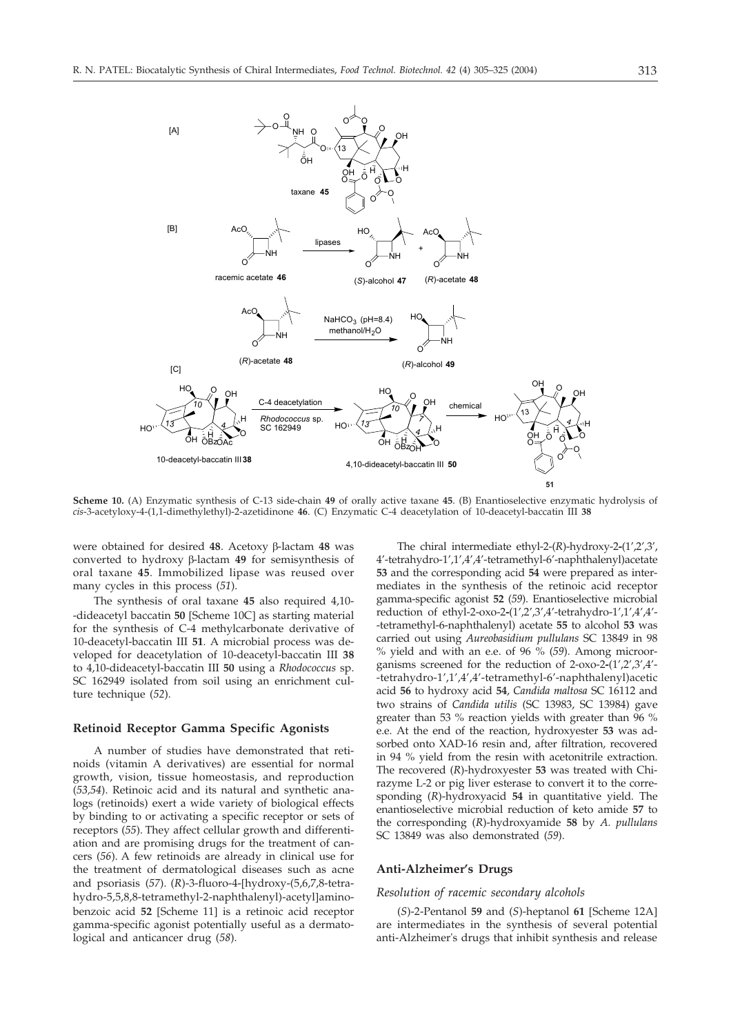

**Scheme 10.** (A) Enzymatic synthesis of C-13 side-chain **49** of orally active taxane **45**. (B) Enantioselective enzymatic hydrolysis of *cis*-3-acetyloxy-4-(1,1-dimethylethyl)-2-azetidinone **46**. (C) Enzymatic C-4 deacetylation of 10-deacetyl-baccatin III **38**

were obtained for desired 48. Acetoxy β-lactam 48 was converted to hydroxy  $\beta$ -lactam 49 for semisynthesis of oral taxane **45**. Immobilized lipase was reused over many cycles in this process (*51*).

The synthesis of oral taxane **45** also required 4,10- -dideacetyl baccatin **50** [Scheme 10C] as starting material for the synthesis of C-4 methylcarbonate derivative of 10-deacetyl-baccatin III **51**. A microbial process was developed for deacetylation of 10-deacetyl-baccatin III **38** to 4,10-dideacetyl-baccatin III **50** using a *Rhodococcus* sp. SC 162949 isolated from soil using an enrichment culture technique (*52*).

### **Retinoid Receptor Gamma Specific Agonists**

A number of studies have demonstrated that retinoids (vitamin A derivatives) are essential for normal growth, vision, tissue homeostasis, and reproduction (*53,54*). Retinoic acid and its natural and synthetic analogs (retinoids) exert a wide variety of biological effects by binding to or activating a specific receptor or sets of receptors (*55*). They affect cellular growth and differentiation and are promising drugs for the treatment of cancers (*56*). A few retinoids are already in clinical use for the treatment of dermatological diseases such as acne and psoriasis (*57*). (*R*)-3-fluoro-4-hydroxy-(5,6,7,8-tetrahydro-5,5,8,8-tetramethyl-2-naphthalenyl)-acetyl]aminobenzoic acid 52 [Scheme 11] is a retinoic acid receptor gamma-specific agonist potentially useful as a dermatological and anticancer drug (*58*).

The chiral intermediate ethyl-2-(*R*)-hydroxy-2**-**(1',2',3', 4'-tetrahydro-1',1',4',4'-tetramethyl-6'-naphthalenyl)acetate **53** and the corresponding acid **54** were prepared as intermediates in the synthesis of the retinoic acid receptor gamma-specific agonist **52** (*59*). Enantioselective microbial reduction of ethyl-2-oxo-2**-**(1',2',3',4'-tetrahydro-1',1',4',4'- -tetramethyl-6-naphthalenyl) acetate **55** to alcohol **53** was carried out using *Aureobasidium pullulans* SC 13849 in 98 % yield and with an e.e. of 96 % (*59*). Among microorganisms screened for the reduction of 2-oxo-2**-**(1',2',3',4'- -tetrahydro-1',1',4',4'-tetramethyl-6'-naphthalenyl)acetic acid **56** to hydroxy acid **54**, *Candida maltosa* SC 16112 and two strains of *Candida utilis* (SC 13983, SC 13984) gave greater than 53 % reaction yields with greater than 96 % e.e. At the end of the reaction, hydroxyester **53** was adsorbed onto XAD-16 resin and, after filtration, recovered in 94 % yield from the resin with acetonitrile extraction. The recovered (*R*)-hydroxyester **53** was treated with Chirazyme L-2 or pig liver esterase to convert it to the corresponding (*R*)-hydroxyacid **54** in quantitative yield. The enantioselective microbial reduction of keto amide **57** to the corresponding (*R*)-hydroxyamide **58** by *A. pullulans* SC 13849 was also demonstrated (*59*).

### **Anti-Alzheimer's Drugs**

### *Resolution of racemic secondary alcohols*

(*S*)-2-Pentanol 59 and (*S*)-heptanol 61 [Scheme 12A] are intermediates in the synthesis of several potential anti-Alzheimer's drugs that inhibit synthesis and release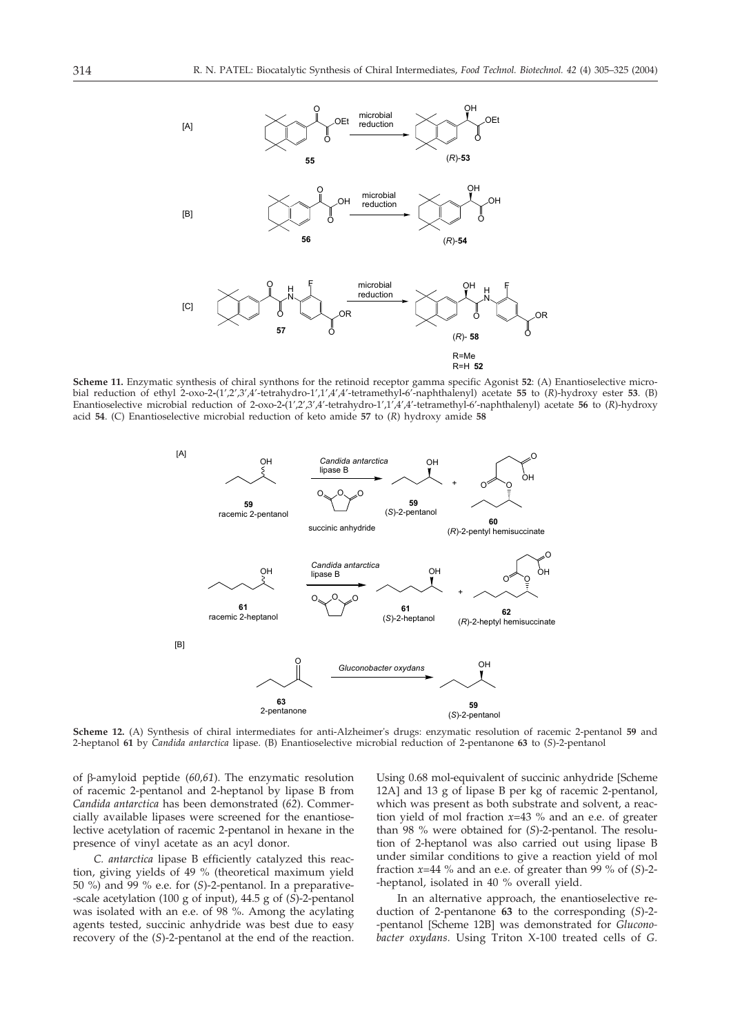

**Scheme 11.** Enzymatic synthesis of chiral synthons for the retinoid receptor gamma specific Agonist **52**: (A) Enantioselective microbial reduction of ethyl 2-oxo-2**-**(1',2',3',4'-tetrahydro-1',1',4',4'-tetramethyl**-**6'-naphthalenyl) acetate **55** to (*R*)-hydroxy ester **53**. (B) Enantioselective microbial reduction of 2-oxo-2**-**(1',2',3',4'-tetrahydro-1',1',4',4'-tetramethyl-6'-naphthalenyl) acetate **56** to (*R*)-hydroxy acid **54**. (C) Enantioselective microbial reduction of keto amide **57** to (*R*) hydroxy amide **58**



**Scheme 12.** (A) Synthesis of chiral intermediates for anti-Alzheimer's drugs: enzymatic resolution of racemic 2-pentanol **59** and 2-heptanol **61** by *Candida antarctica* lipase. (B) Enantioselective microbial reduction of 2-pentanone **63** to (*S*)-2-pentanol

of  $\beta$ -amyloid peptide (60,61). The enzymatic resolution of racemic 2-pentanol and 2-heptanol by lipase B from *Candida antarctica* has been demonstrated (*62*). Commercially available lipases were screened for the enantioselective acetylation of racemic 2-pentanol in hexane in the presence of vinyl acetate as an acyl donor.

*C. antarctica* lipase B efficiently catalyzed this reaction, giving yields of 49 % (theoretical maximum yield 50 %) and 99 % e.e. for (*S*)-2-pentanol. In a preparative- -scale acetylation (100 g of input), 44.5 g of (*S*)-2-pentanol was isolated with an e.e. of 98 %. Among the acylating agents tested, succinic anhydride was best due to easy recovery of the (*S*)-2-pentanol at the end of the reaction.

Using 0.68 mol-equivalent of succinic anhydride [Scheme 12A] and 13 g of lipase B per kg of racemic 2-pentanol, which was present as both substrate and solvent, a reaction yield of mol fraction *x*=43 % and an e.e. of greater than 98 % were obtained for (*S*)-2-pentanol. The resolution of 2-heptanol was also carried out using lipase B under similar conditions to give a reaction yield of mol fraction *x*=44 % and an e.e. of greater than 99 % of (*S*)-2- -heptanol, isolated in 40 % overall yield.

In an alternative approach, the enantioselective reduction of 2-pentanone **63** to the corresponding (*S*)-2- -pentanol [Scheme 12B] was demonstrated for *Gluconobacter oxydans.* Using Triton X-100 treated cells of *G.*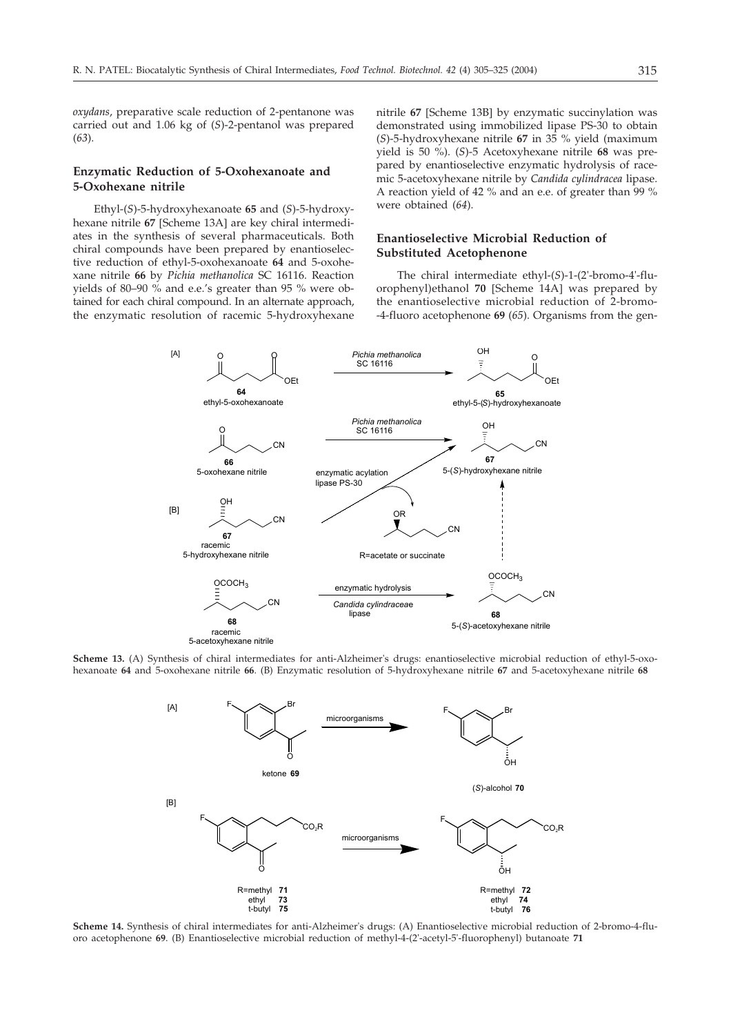*oxydans*, preparative scale reduction of 2-pentanone was carried out and 1.06 kg of (*S*)-2-pentanol was prepared (*63*).

## **Enzymatic Reduction of 5-Oxohexanoate and 5-Oxohexane nitrile**

Ethyl-(*S*)-5-hydroxyhexanoate **65** and (*S*)-5-hydroxyhexane nitrile 67 [Scheme 13A] are key chiral intermediates in the synthesis of several pharmaceuticals. Both chiral compounds have been prepared by enantioselective reduction of ethyl-5-oxohexanoate **64** and 5-oxohexane nitrile **66** by *Pichia methanolica* SC 16116. Reaction yields of 80–90 % and e.e.'s greater than 95 % were obtained for each chiral compound. In an alternate approach, the enzymatic resolution of racemic 5-hydroxyhexane

nitrile 67 [Scheme 13B] by enzymatic succinylation was demonstrated using immobilized lipase PS-30 to obtain (*S*)-5-hydroxyhexane nitrile **67** in 35 % yield (maximum yield is 50 %). (*S*)-5 Acetoxyhexane nitrile **68** was prepared by enantioselective enzymatic hydrolysis of racemic 5-acetoxyhexane nitrile by *Candida cylindracea* lipase. A reaction yield of 42 % and an e.e. of greater than 99 % were obtained (*64*).

## **Enantioselective Microbial Reduction of Substituted Acetophenone**

The chiral intermediate ethyl-(*S*)-1-(2'-bromo-4'-fluorophenyl)ethanol 70 [Scheme 14A] was prepared by the enantioselective microbial reduction of 2-bromo- -4-fluoro acetophenone **69** (*65*). Organisms from the gen-



**Scheme 13.** (A) Synthesis of chiral intermediates for anti-Alzheimer's drugs: enantioselective microbial reduction of ethyl-5-oxohexanoate **64** and 5-oxohexane nitrile **66**. (B) Enzymatic resolution of 5-hydroxyhexane nitrile **67** and 5-acetoxyhexane nitrile **68**



**Scheme 14.** Synthesis of chiral intermediates for anti-Alzheimer's drugs: (A) Enantioselective microbial reduction of 2-bromo-4-fluoro acetophenone **69**. (B) Enantioselective microbial reduction of methyl-4-(2'-acetyl-5'-fluorophenyl) butanoate **71**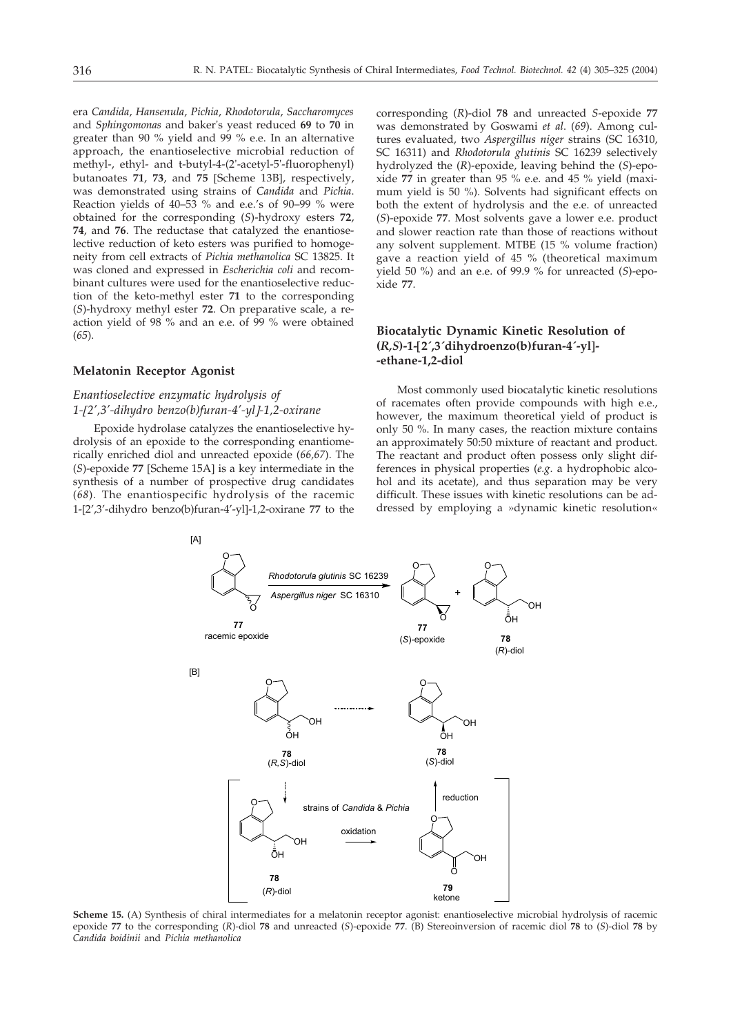era *Candida*, *Hansenula*, *Pichia*, *Rhodotorula*, *Saccharomyces* and *Sphingomonas* and baker's yeast reduced **69** to **70** in greater than 90 % yield and 99 % e.e. In an alternative approach, the enantioselective microbial reduction of methyl-, ethyl- and t-butyl-4-(2'-acetyl-5'-fluorophenyl) butanoates 71, 73, and 75 [Scheme 13B], respectively, was demonstrated using strains of *Candida* and *Pichia*. Reaction yields of 40–53 % and e.e.'s of 90–99 % were obtained for the corresponding (*S*)-hydroxy esters **72**, **74**, and **76**. The reductase that catalyzed the enantioselective reduction of keto esters was purified to homogeneity from cell extracts of *Pichia methanolica* SC 13825. It was cloned and expressed in *Escherichia coli* and recombinant cultures were used for the enantioselective reduction of the keto-methyl ester **71** to the corresponding (*S*)-hydroxy methyl ester **72**. On preparative scale, a reaction yield of 98 % and an e.e. of 99 % were obtained (*65*).

#### **Melatonin Receptor Agonist**

## *Enantioselective enzymatic hydrolysis of 1-2',3'-dihydro benzo(b)furan-4'-yl--1,2-oxirane*

Epoxide hydrolase catalyzes the enantioselective hydrolysis of an epoxide to the corresponding enantiomerically enriched diol and unreacted epoxide (*66,67*). The (*S*)-epoxide 77 [Scheme 15A] is a key intermediate in the synthesis of a number of prospective drug candidates (*68*). The enantiospecific hydrolysis of the racemic 1-[2',3'-dihydro benzo(b)furan-4'-yl]-1,2-oxirane 77 to the

corresponding (*R*)-diol **78** and unreacted *S*-epoxide **77** was demonstrated by Goswami *et al*. (*69*). Among cultures evaluated, two *Aspergillus niger* strains (SC 16310, SC 16311) and *Rhodotorula glutinis* SC 16239 selectively hydrolyzed the (*R*)-epoxide, leaving behind the (*S*)-epoxide **77** in greater than 95 % e.e. and 45 % yield (maximum yield is 50 %). Solvents had significant effects on both the extent of hydrolysis and the e.e. of unreacted (*S*)-epoxide **77**. Most solvents gave a lower e.e. product and slower reaction rate than those of reactions without any solvent supplement. MTBE (15 % volume fraction) gave a reaction yield of 45 % (theoretical maximum yield 50 %) and an e.e. of 99.9 % for unreacted (*S*)-epoxide **77**.

## **Biocatalytic Dynamic Kinetic Resolution of (***R,S***)-1-2´,3´dihydroenzo(b)furan-4´-yl-- -ethane-1,2-diol**

Most commonly used biocatalytic kinetic resolutions of racemates often provide compounds with high e.e., however, the maximum theoretical yield of product is only 50 %. In many cases, the reaction mixture contains an approximately 50:50 mixture of reactant and product. The reactant and product often possess only slight differences in physical properties (*e.g*. a hydrophobic alcohol and its acetate), and thus separation may be very difficult. These issues with kinetic resolutions can be addressed by employing a »dynamic kinetic resolution«



**Scheme 15.** (A) Synthesis of chiral intermediates for a melatonin receptor agonist: enantioselective microbial hydrolysis of racemic epoxide **77** to the corresponding (*R*)-diol **78** and unreacted (*S*)-epoxide **77**. (B) Stereoinversion of racemic diol **78** to (*S*)-diol **78** by *Candida boidinii* and *Pichia methanolica*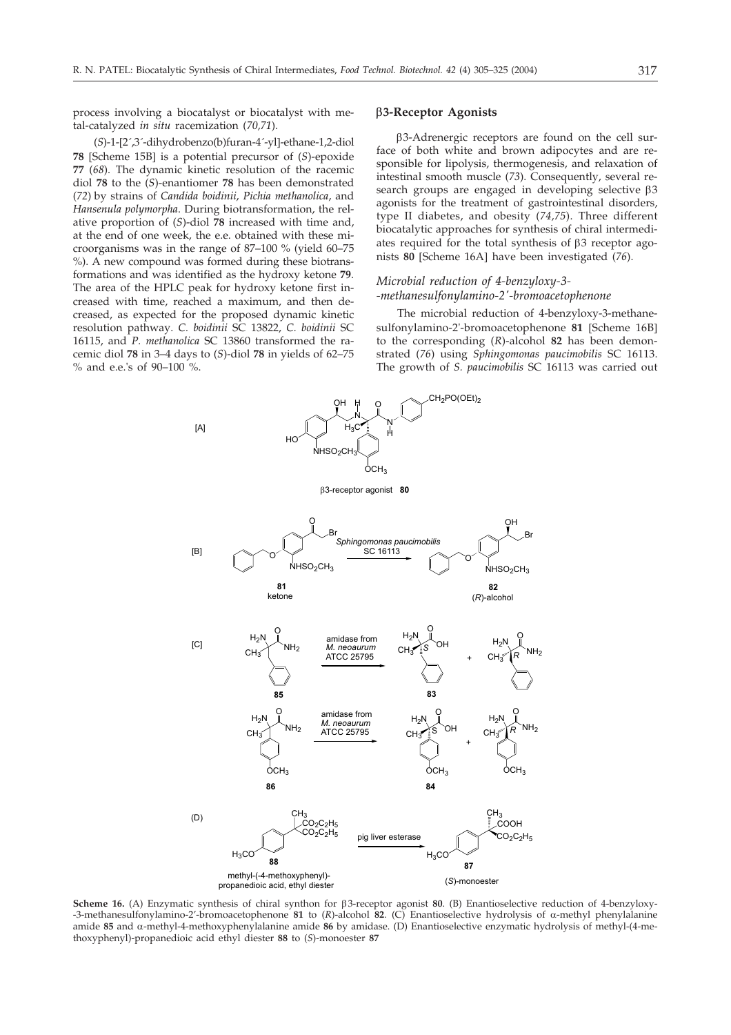process involving a biocatalyst or biocatalyst with metal-catalyzed *in situ* racemization (*70,71*).

(S)-1-[2´,3´-dihydrobenzo(b)furan-4´-yl]-ethane-1,2-diol 78 [Scheme 15B] is a potential precursor of (*S*)-epoxide **77** (*68*). The dynamic kinetic resolution of the racemic diol **78** to the (*S*)-enantiomer **78** has been demonstrated (*72*) by strains of *Candida boidinii*, *Pichia methanolica*, and *Hansenula polymorpha*. During biotransformation, the relative proportion of (*S*)-diol **78** increased with time and, at the end of one week, the e.e. obtained with these microorganisms was in the range of 87–100 % (yield 60–75 %). A new compound was formed during these biotransformations and was identified as the hydroxy ketone **79**. The area of the HPLC peak for hydroxy ketone first increased with time, reached a maximum, and then decreased, as expected for the proposed dynamic kinetic resolution pathway. *C. boidinii* SC 13822, *C. boidinii* SC 16115, and *P. methanolica* SC 13860 transformed the racemic diol **78** in 3–4 days to (*S*)-diol **78** in yields of 62–75 % and e.e.'s of 90–100 %.

## **3-Receptor Agonists**

3-Adrenergic receptors are found on the cell surface of both white and brown adipocytes and are responsible for lipolysis, thermogenesis, and relaxation of intestinal smooth muscle (*73*). Consequently, several research groups are engaged in developing selective  $\beta$ 3 agonists for the treatment of gastrointestinal disorders, type II diabetes, and obesity (*74,75*). Three different biocatalytic approaches for synthesis of chiral intermediates required for the total synthesis of  $\beta$ 3 receptor agonists 80 [Scheme 16A] have been investigated (76).

## *Microbial reduction of 4-benzyloxy-3- -methanesulfonylamino-2'-bromoacetophenone*

The microbial reduction of 4-benzyloxy-3-methanesulfonylamino-2'-bromoacetophenone 81 [Scheme 16B] to the corresponding (*R*)-alcohol **82** has been demonstrated (*76*) using *Sphingomonas paucimobilis* SC 16113. The growth of *S. paucimobilis* SC 16113 was carried out



**Scheme 16.** (A) Enzymatic synthesis of chiral synthon for 3-receptor agonist **80**. (B) Enantioselective reduction of 4-benzyloxy- -3-methanesulfonylamino-2'-bromoacetophenone **81** to (*R*)-alcohol **82**. (C) Enantioselective hydrolysis of  $\alpha$ -methyl phenylalanine amide 85 and  $\alpha$ -methyl-4-methoxyphenylalanine amide 86 by amidase. (D) Enantioselective enzymatic hydrolysis of methyl-(4-methoxyphenyl)-propanedioic acid ethyl diester **88** to (*S*)-monoester **87**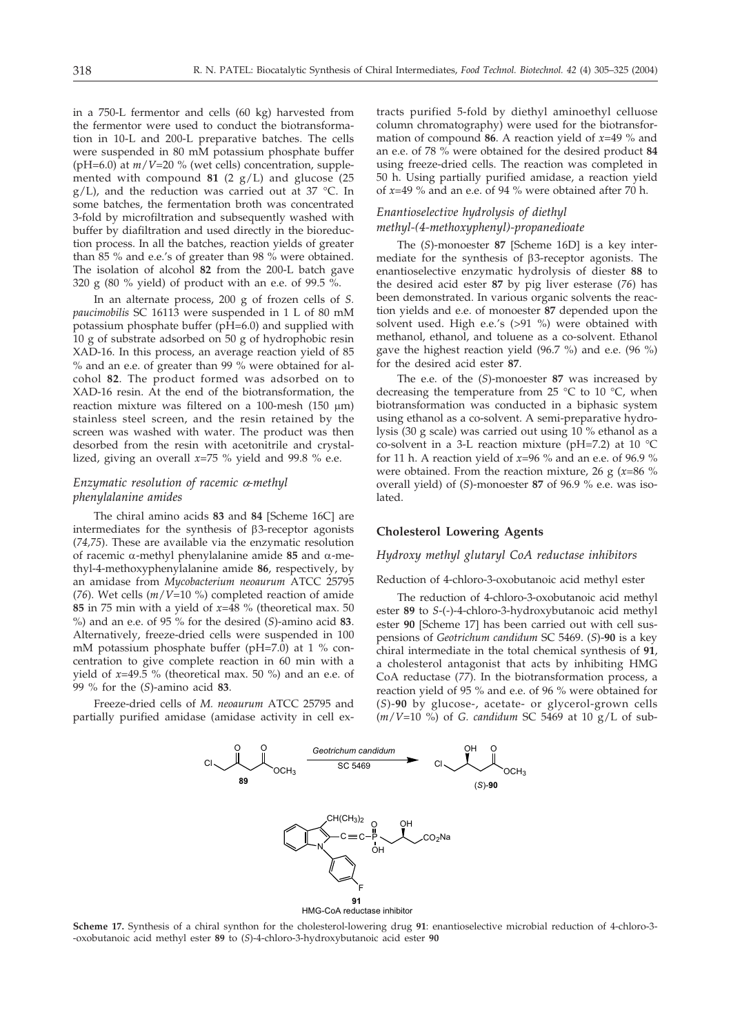in a 750-L fermentor and cells (60 kg) harvested from the fermentor were used to conduct the biotransformation in 10-L and 200-L preparative batches. The cells were suspended in 80 mM potassium phosphate buffer (pH=6.0) at *m*/*V*=20 % (wet cells) concentration, supplemented with compound  $81$  (2 g/L) and glucose (25)  $g/L$ ), and the reduction was carried out at 37 °C. In some batches, the fermentation broth was concentrated 3-fold by microfiltration and subsequently washed with buffer by diafiltration and used directly in the bioreduction process. In all the batches, reaction yields of greater than 85 % and e.e.'s of greater than 98 % were obtained. The isolation of alcohol **82** from the 200-L batch gave 320 g (80 % yield) of product with an e.e. of 99.5 %.

In an alternate process, 200 g of frozen cells of *S. paucimobilis* SC 16113 were suspended in 1 L of 80 mM potassium phosphate buffer (pH=6.0) and supplied with 10 g of substrate adsorbed on 50 g of hydrophobic resin XAD-16. In this process, an average reaction yield of 85  $%$  and an e.e. of greater than 99  $%$  were obtained for alcohol **82**. The product formed was adsorbed on to XAD-16 resin. At the end of the biotransformation, the reaction mixture was filtered on a 100-mesh (150  $\mu$ m) stainless steel screen, and the resin retained by the screen was washed with water. The product was then desorbed from the resin with acetonitrile and crystallized, giving an overall *x*=75 % yield and 99.8 % e.e.

## *Enzymatic resolution of racemic*  $\alpha$ *-methyl phenylalanine amides*

The chiral amino acids 83 and 84 [Scheme 16C] are intermediates for the synthesis of  $\beta$ 3-receptor agonists (*74,75*). These are available via the enzymatic resolution of racemic  $\alpha$ -methyl phenylalanine amide 85 and  $\alpha$ -methyl-4-methoxyphenylalanine amide **86**, respectively, by an amidase from *Mycobacterium neoaurum* ATCC 25795 (*76*). Wet cells (*m*/*V*=10 %) completed reaction of amide **85** in 75 min with a yield of *x*=48 % (theoretical max. 50 %) and an e.e. of 95 % for the desired (*S*)-amino acid **83**. Alternatively, freeze-dried cells were suspended in 100 mM potassium phosphate buffer (pH=7.0) at 1 % concentration to give complete reaction in 60 min with a yield of *x*=49.5 % (theoretical max. 50 %) and an e.e. of 99 % for the (*S*)-amino acid **83**.

Freeze-dried cells of *M. neoaurum* ATCC 25795 and partially purified amidase (amidase activity in cell extracts purified 5-fold by diethyl aminoethyl celluose column chromatography) were used for the biotransformation of compound **86**. A reaction yield of *x*=49 % and an e.e. of 78 % were obtained for the desired product **84** using freeze-dried cells. The reaction was completed in 50 h. Using partially purified amidase, a reaction yield of *x*=49 % and an e.e. of 94 % were obtained after 70 h.

## *Enantioselective hydrolysis of diethyl methyl-(4-methoxyphenyl)-propanedioate*

The (S)-monoester 87 [Scheme 16D] is a key intermediate for the synthesis of  $\beta$ 3-receptor agonists. The enantioselective enzymatic hydrolysis of diester **88** to the desired acid ester **87** by pig liver esterase (*76*) has been demonstrated. In various organic solvents the reaction yields and e.e. of monoester **87** depended upon the solvent used. High e.e.'s (>91 %) were obtained with methanol, ethanol, and toluene as a co-solvent. Ethanol gave the highest reaction yield (96.7 %) and e.e. (96 %) for the desired acid ester **87**.

The e.e. of the (*S*)-monoester **87** was increased by decreasing the temperature from 25 °C to 10 °C, when biotransformation was conducted in a biphasic system using ethanol as a co-solvent. A semi-preparative hydrolysis (30 g scale) was carried out using 10 % ethanol as a co-solvent in a 3-L reaction mixture (pH=7.2) at 10 °C for 11 h. A reaction yield of *x*=96 % and an e.e. of 96.9 % were obtained. From the reaction mixture, 26 g (*x*=86 % overall yield) of (*S*)-monoester **87** of 96.9 % e.e. was isolated.

## **Cholesterol Lowering Agents**

### *Hydroxy methyl glutaryl CoA reductase inhibitors*

#### Reduction of 4-chloro-3-oxobutanoic acid methyl ester

The reduction of 4-chloro-3-oxobutanoic acid methyl ester **89** to *S*-(-)-4-chloro-3-hydroxybutanoic acid methyl ester 90 [Scheme 17] has been carried out with cell suspensions of *Geotrichum candidum* SC 5469. (*S*)-**90** is a key chiral intermediate in the total chemical synthesis of **91**, a cholesterol antagonist that acts by inhibiting HMG CoA reductase (*77*). In the biotransformation process, a reaction yield of 95 % and e.e. of 96 % were obtained for (*S*)-**90** by glucose-, acetate- or glycerol-grown cells (*m*/*V*=10 %) of *G. candidum* SC 5469 at 10 g/L of sub-



**Scheme 17.** Synthesis of a chiral synthon for the cholesterol-lowering drug **91**: enantioselective microbial reduction of 4-chloro-3- -oxobutanoic acid methyl ester **89** to (*S*)-4-chloro-3-hydroxybutanoic acid ester **90**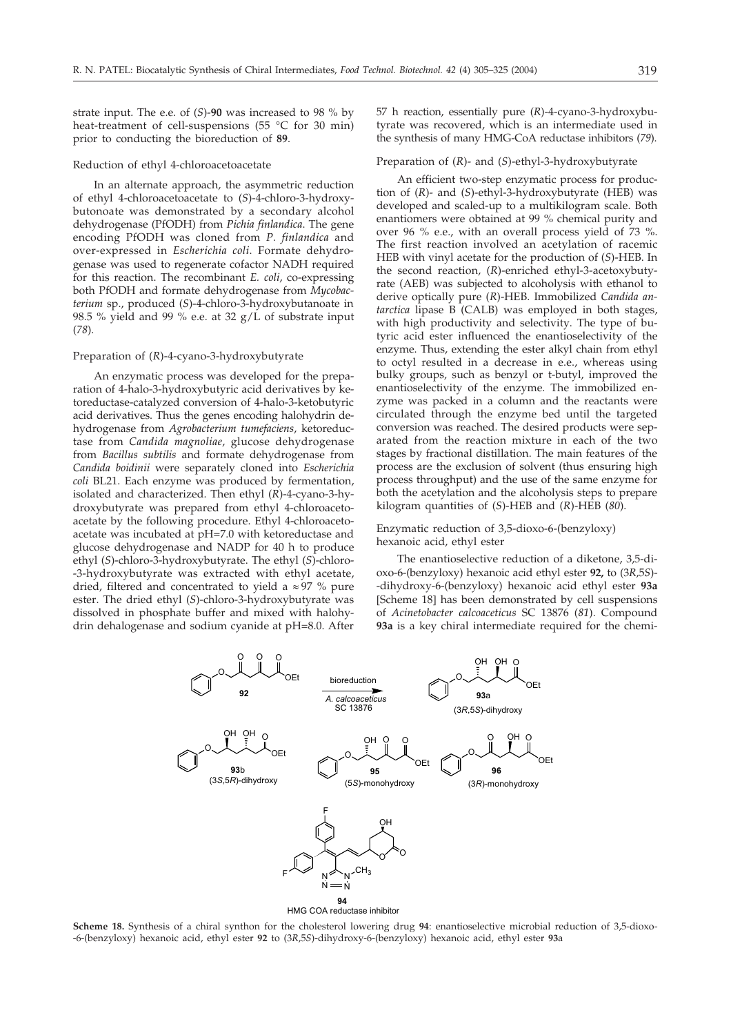strate input. The e.e. of (*S*)-**90** was increased to 98 % by heat-treatment of cell-suspensions (55 °C for 30 min) prior to conducting the bioreduction of **89**.

#### Reduction of ethyl 4-chloroacetoacetate

In an alternate approach, the asymmetric reduction of ethyl 4-chloroacetoacetate to (*S*)-4-chloro-3-hydroxybutonoate was demonstrated by a secondary alcohol dehydrogenase (PfODH) from *Pichia finlandica*. The gene encoding PfODH was cloned from *P. finlandica* and over-expressed in *Escherichia coli*. Formate dehydrogenase was used to regenerate cofactor NADH required for this reaction. The recombinant *E. coli*, co-expressing both PfODH and formate dehydrogenase from *Mycobacterium* sp., produced (*S*)-4-chloro-3-hydroxybutanoate in 98.5 % yield and 99 % e.e. at 32 g/L of substrate input (*78*).

## Preparation of (*R*)-4-cyano-3-hydroxybutyrate

An enzymatic process was developed for the preparation of 4-halo-3-hydroxybutyric acid derivatives by ketoreductase-catalyzed conversion of 4-halo-3-ketobutyric acid derivatives. Thus the genes encoding halohydrin dehydrogenase from *Agrobacterium tumefaciens*, ketoreductase from *Candida magnoliae*, glucose dehydrogenase from *Bacillus subtilis* and formate dehydrogenase from *Candida boidinii* were separately cloned into *Escherichia coli* BL21. Each enzyme was produced by fermentation, isolated and characterized. Then ethyl (*R*)-4-cyano-3-hydroxybutyrate was prepared from ethyl 4-chloroacetoacetate by the following procedure. Ethyl 4-chloroacetoacetate was incubated at pH=7.0 with ketoreductase and glucose dehydrogenase and NADP for 40 h to produce ethyl (*S*)-chloro-3-hydroxybutyrate. The ethyl (*S*)-chloro- -3-hydroxybutyrate was extracted with ethyl acetate, dried, filtered and concentrated to yield a  $\approx 97$  % pure ester. The dried ethyl (*S*)-chloro-3-hydroxybutyrate was dissolved in phosphate buffer and mixed with halohydrin dehalogenase and sodium cyanide at pH=8.0. After

57 h reaction, essentially pure (*R*)-4-cyano-3-hydroxybutyrate was recovered, which is an intermediate used in the synthesis of many HMG-CoA reductase inhibitors (*79*).

### Preparation of (*R*)- and (*S*)-ethyl-3-hydroxybutyrate

An efficient two-step enzymatic process for production of (*R*)- and (*S*)-ethyl-3-hydroxybutyrate (HEB) was developed and scaled-up to a multikilogram scale. Both enantiomers were obtained at 99 % chemical purity and over 96 % e.e., with an overall process yield of 73 %. The first reaction involved an acetylation of racemic HEB with vinyl acetate for the production of (*S*)-HEB. In the second reaction, (*R*)-enriched ethyl-3-acetoxybutyrate (AEB) was subjected to alcoholysis with ethanol to derive optically pure (*R*)-HEB. Immobilized *Candida antarctica* lipase B (CALB) was employed in both stages, with high productivity and selectivity. The type of butyric acid ester influenced the enantioselectivity of the enzyme. Thus, extending the ester alkyl chain from ethyl to octyl resulted in a decrease in e.e., whereas using bulky groups, such as benzyl or t-butyl, improved the enantioselectivity of the enzyme. The immobilized enzyme was packed in a column and the reactants were circulated through the enzyme bed until the targeted conversion was reached. The desired products were separated from the reaction mixture in each of the two stages by fractional distillation. The main features of the process are the exclusion of solvent (thus ensuring high process throughput) and the use of the same enzyme for both the acetylation and the alcoholysis steps to prepare kilogram quantities of (*S*)-HEB and (*R*)-HEB (*80*).

### Enzymatic reduction of 3,5-dioxo-6-(benzyloxy) hexanoic acid, ethyl ester

The enantioselective reduction of a diketone, 3,5-dioxo-6-(benzyloxy) hexanoic acid ethyl ester **92,** to (3*R*,5*S*)- -dihydroxy-6-(benzyloxy) hexanoic acid ethyl ester **93a** [Scheme 18] has been demonstrated by cell suspensions of *Acinetobacter calcoaceticus* SC 13876 (*81*). Compound **93a** is a key chiral intermediate required for the chemi-



**Scheme 18.** Synthesis of a chiral synthon for the cholesterol lowering drug **94**: enantioselective microbial reduction of 3,5-dioxo- -6-(benzyloxy) hexanoic acid, ethyl ester **92** to (3*R*,5*S*)-dihydroxy-6-(benzyloxy) hexanoic acid, ethyl ester **93**a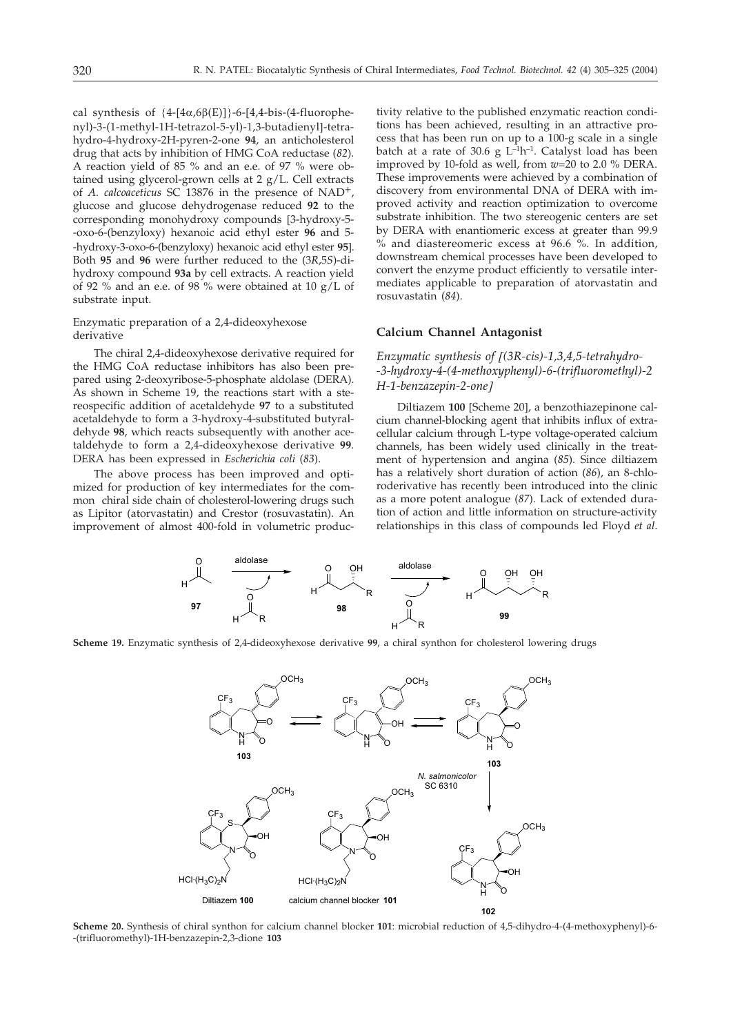cal synthesis of  ${4-[4\alpha,6\beta(E)]}\-6-[4,4-bis-(4-fluorophe$ nyl)-3-(1-methyl-1H-tetrazol-5-yl)-1,3-butadienyl]-tetrahydro-4-hydroxy-2H-pyren-2-one **94**, an anticholesterol drug that acts by inhibition of HMG CoA reductase (*82*). A reaction yield of 85 % and an e.e. of 97 % were obtained using glycerol-grown cells at 2 g/L. Cell extracts of *A. calcoaceticus* SC 13876 in the presence of NAD+, glucose and glucose dehydrogenase reduced **92** to the corresponding monohydroxy compounds [3-hydroxy-5--oxo-6-(benzyloxy) hexanoic acid ethyl ester **96** and 5- -hydroxy-3-oxo-6-(benzyloxy) hexanoic acid ethyl ester **95**-. Both **95** and **96** were further reduced to the (3*R*,5*S*)-dihydroxy compound **93a** by cell extracts. A reaction yield of 92 % and an e.e. of 98 % were obtained at 10 g/L of substrate input.

Enzymatic preparation of a 2,4-dideoxyhexose derivative

The chiral 2,4-dideoxyhexose derivative required for the HMG CoA reductase inhibitors has also been prepared using 2-deoxyribose-5-phosphate aldolase (DERA). As shown in Scheme 19, the reactions start with a stereospecific addition of acetaldehyde **97** to a substituted acetaldehyde to form a 3-hydroxy-4-substituted butyraldehyde **98**, which reacts subsequently with another acetaldehyde to form a 2,4-dideoxyhexose derivative **99**. DERA has been expressed in *Escherichia coli* (*83*).

The above process has been improved and optimized for production of key intermediates for the common chiral side chain of cholesterol-lowering drugs such as Lipitor (atorvastatin) and Crestor (rosuvastatin). An improvement of almost 400-fold in volumetric productivity relative to the published enzymatic reaction conditions has been achieved, resulting in an attractive process that has been run on up to a 100-g scale in a single batch at a rate of 30.6 g  $L^{-1}h^{-1}$ . Catalyst load has been improved by 10-fold as well, from *w*=20 to 2.0 % DERA. These improvements were achieved by a combination of discovery from environmental DNA of DERA with improved activity and reaction optimization to overcome substrate inhibition. The two stereogenic centers are set by DERA with enantiomeric excess at greater than 99.9 % and diastereomeric excess at 96.6 %. In addition, downstream chemical processes have been developed to convert the enzyme product efficiently to versatile intermediates applicable to preparation of atorvastatin and rosuvastatin (*84*).

## **Calcium Channel Antagonist**

*Enzymatic synthesis of (3R-cis)-1,3,4,5-tetrahydro- -3-hydroxy-4-(4-methoxyphenyl)-6-(trifluoromethyl)-2 H-1-benzazepin-2-one-*

Diltiazem 100 [Scheme 20], a benzothiazepinone calcium channel-blocking agent that inhibits influx of extracellular calcium through L-type voltage-operated calcium channels, has been widely used clinically in the treatment of hypertension and angina (*85*). Since diltiazem has a relatively short duration of action (*86*), an 8-chloroderivative has recently been introduced into the clinic as a more potent analogue (*87*). Lack of extended duration of action and little information on structure-activity relationships in this class of compounds led Floyd *et al*.



**Scheme 19.** Enzymatic synthesis of 2,4-dideoxyhexose derivative **99**, a chiral synthon for cholesterol lowering drugs



**Scheme 20.** Synthesis of chiral synthon for calcium channel blocker **101**: microbial reduction of 4,5-dihydro-4-(4-methoxyphenyl)-6- -(trifluoromethyl)-1H-benzazepin-2,3-dione **103**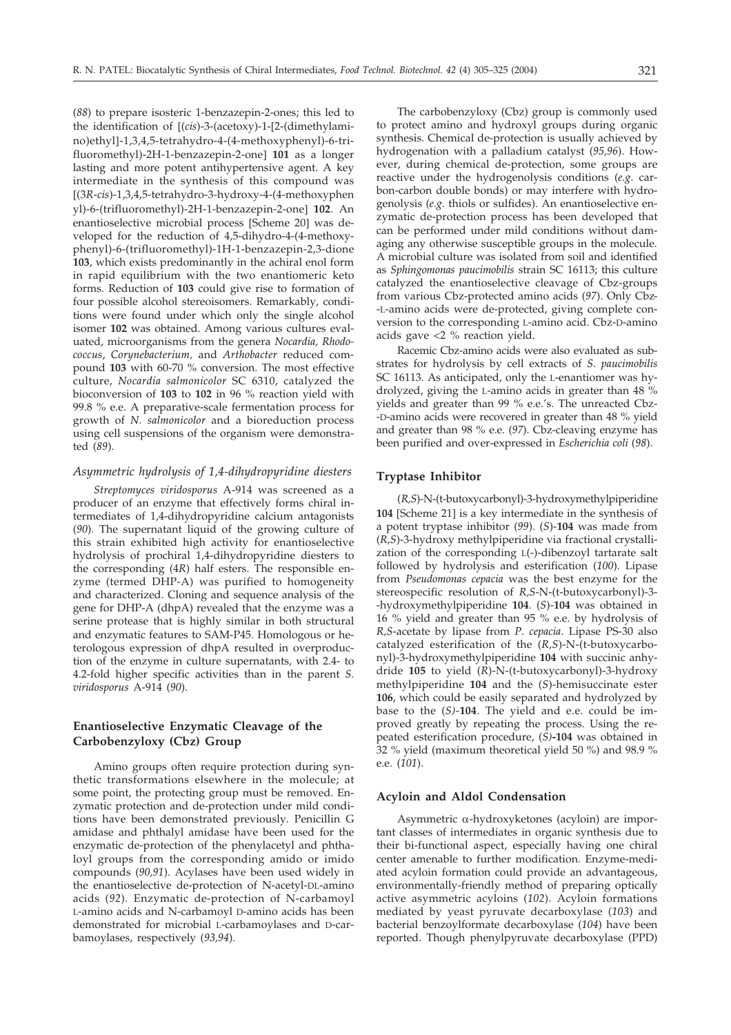(*88*) to prepare isosteric 1-benzazepin-2-ones; this led to the identification of (*cis*)-3-(acetoxy)-1-2-(dimethylamino)ethyl--1,3,4,5-tetrahydro-4-(4-methoxyphenyl)-6-trifluoromethyl)-2H-1-benzazepin-2-one] **101** as a longer lasting and more potent antihypertensive agent. A key intermediate in the synthesis of this compound was (3*R*-*cis*)-1,3,4,5-tetrahydro-3-hydroxy-4-(4-methoxyphen yl)-6-(trifluoromethyl)-2H-1-benzazepin-2-one] **102**. An enantioselective microbial process [Scheme 20] was developed for the reduction of 4,5-dihydro-4-(4-methoxyphenyl)-6-(trifluoromethyl)-1H-1-benzazepin-2,3-dione **103**, which exists predominantly in the achiral enol form in rapid equilibrium with the two enantiomeric keto forms. Reduction of **103** could give rise to formation of four possible alcohol stereoisomers. Remarkably, conditions were found under which only the single alcohol isomer **102** was obtained. Among various cultures evaluated, microorganisms from the genera *Nocardia, Rhodococcus*, *Corynebacterium,* and *Arthobacter* reduced compound **103** with 60-70 % conversion. The most effective culture, *Nocardia salmonicolor* SC 6310, catalyzed the bioconversion of **103** to **102** in 96 % reaction yield with 99.8 % e.e. A preparative-scale fermentation process for growth of *N. salmonicolor* and a bioreduction process using cell suspensions of the organism were demonstrated (*89*).

### *Asymmetric hydrolysis of 1,4-dihydropyridine diesters*

*Streptomyces viridosporus* A-914 was screened as a producer of an enzyme that effectively forms chiral intermediates of 1,4-dihydropyridine calcium antagonists (*90*). The supernatant liquid of the growing culture of this strain exhibited high activity for enantioselective hydrolysis of prochiral 1,4-dihydropyridine diesters to the corresponding (4*R*) half esters. The responsible enzyme (termed DHP-A) was purified to homogeneity and characterized. Cloning and sequence analysis of the gene for DHP-A (dhpA) revealed that the enzyme was a serine protease that is highly similar in both structural and enzymatic features to SAM-P45. Homologous or heterologous expression of dhpA resulted in overproduction of the enzyme in culture supernatants, with 2.4- to 4.2-fold higher specific activities than in the parent *S. viridosporus* A-914 (*90*).

## **Enantioselective Enzymatic Cleavage of the Carbobenzyloxy (Cbz) Group**

Amino groups often require protection during synthetic transformations elsewhere in the molecule; at some point, the protecting group must be removed. Enzymatic protection and de-protection under mild conditions have been demonstrated previously. Penicillin G amidase and phthalyl amidase have been used for the enzymatic de-protection of the phenylacetyl and phthaloyl groups from the corresponding amido or imido compounds (*90,91*). Acylases have been used widely in the enantioselective de-protection of N-acetyl-DL-amino acids (*92*). Enzymatic de-protection of N-carbamoyl L-amino acids and N-carbamoyl D-amino acids has been demonstrated for microbial L-carbamoylases and D-carbamoylases, respectively (*93,94*).

The carbobenzyloxy (Cbz) group is commonly used to protect amino and hydroxyl groups during organic synthesis. Chemical de-protection is usually achieved by hydrogenation with a palladium catalyst (*95,96*). However, during chemical de-protection, some groups are reactive under the hydrogenolysis conditions (*e.g*. carbon-carbon double bonds) or may interfere with hydrogenolysis (*e.g.* thiols or sulfides). An enantioselective enzymatic de-protection process has been developed that can be performed under mild conditions without damaging any otherwise susceptible groups in the molecule. A microbial culture was isolated from soil and identified as *Sphingomonas paucimobilis* strain SC 16113; this culture catalyzed the enantioselective cleavage of Cbz-groups from various Cbz-protected amino acids (*97*). Only Cbz- -L-amino acids were de-protected, giving complete conversion to the corresponding L-amino acid. Cbz-D-amino acids gave <2 % reaction yield.

Racemic Cbz-amino acids were also evaluated as substrates for hydrolysis by cell extracts of *S. paucimobilis* SC 16113. As anticipated, only the L-enantiomer was hydrolyzed, giving the L-amino acids in greater than 48 % yields and greater than 99 % e.e.'s. The unreacted Cbz- -D-amino acids were recovered in greater than 48 % yield and greater than 98 % e.e. (*97*). Cbz-cleaving enzyme has been purified and over-expressed in *Escherichia coli* (*98*).

### **Tryptase Inhibitor**

(*R,S*)-N-(t-butoxycarbonyl)-3-hydroxymethylpiperidine 104 [Scheme 21] is a key intermediate in the synthesis of a potent tryptase inhibitor (*99*). (*S*)-**104** was made from (*R,S*)-3-hydroxy methylpiperidine via fractional crystallization of the corresponding L(-)-dibenzoyl tartarate salt followed by hydrolysis and esterification (*100*). Lipase from *Pseudomonas cepacia* was the best enzyme for the stereospecific resolution of *R,S*-N-(t-butoxycarbonyl)-3- -hydroxymethylpiperidine **104**. (*S*)-**104** was obtained in 16 % yield and greater than 95 % e.e. by hydrolysis of *R,S*-acetate by lipase from *P. cepacia*. Lipase PS-30 also catalyzed esterification of the (*R,S*)-N-(t-butoxycarbonyl)-3-hydroxymethylpiperidine **104** with succinic anhydride **105** to yield (*R*)-N-(t-butoxycarbonyl)-3-hydroxy methylpiperidine **104** and the (*S*)-hemisuccinate ester **106**, which could be easily separated and hydrolyzed by base to the (*S)*-**104**. The yield and e.e. could be improved greatly by repeating the process. Using the repeated esterification procedure, (*S)***-104** was obtained in 32 % yield (maximum theoretical yield 50 %) and 98.9 % e.e. (*101*).

### **Acyloin and Aldol Condensation**

Asymmetric  $\alpha$ -hydroxyketones (acyloin) are important classes of intermediates in organic synthesis due to their bi-functional aspect, especially having one chiral center amenable to further modification. Enzyme-mediated acyloin formation could provide an advantageous, environmentally-friendly method of preparing optically active asymmetric acyloins (*102*). Acyloin formations mediated by yeast pyruvate decarboxylase (*103*) and bacterial benzoylformate decarboxylase (*104*) have been reported. Though phenylpyruvate decarboxylase (PPD)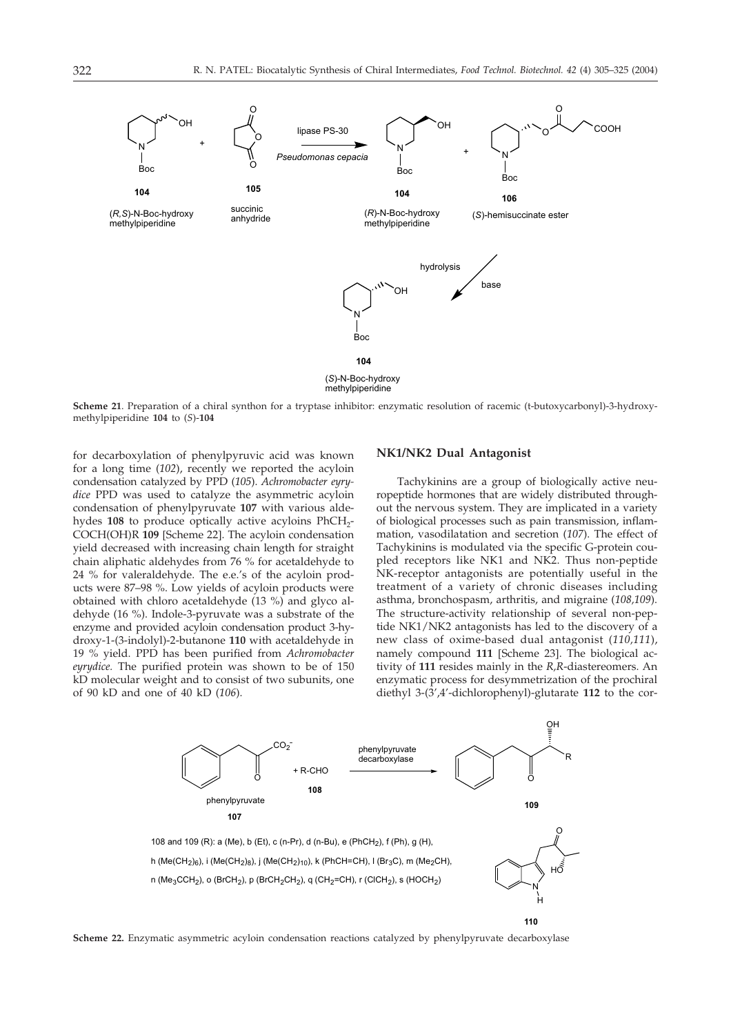

**Scheme 21**. Preparation of a chiral synthon for a tryptase inhibitor: enzymatic resolution of racemic (t-butoxycarbonyl)-3-hydroxymethylpiperidine **104** to (*S*)-**104**

for decarboxylation of phenylpyruvic acid was known for a long time (*102*), recently we reported the acyloin condensation catalyzed by PPD (*105*). *Achromobacter eyrydice* PPD was used to catalyze the asymmetric acyloin condensation of phenylpyruvate **107** with various aldehydes 108 to produce optically active acyloins PhCH<sub>2</sub>-COCH(OH)R 109 [Scheme 22]. The acyloin condensation yield decreased with increasing chain length for straight chain aliphatic aldehydes from 76 % for acetaldehyde to 24 % for valeraldehyde. The e.e.'s of the acyloin products were 87–98 %. Low yields of acyloin products were obtained with chloro acetaldehyde (13 %) and glyco aldehyde (16 %). Indole-3-pyruvate was a substrate of the enzyme and provided acyloin condensation product 3-hydroxy-1-(3-indolyl)-2-butanone **110** with acetaldehyde in 19 % yield. PPD has been purified from *Achromobacter eyrydice.* The purified protein was shown to be of 150 kD molecular weight and to consist of two subunits, one of 90 kD and one of 40 kD (*106*).

### **NK1/NK2 Dual Antagonist**

Tachykinins are a group of biologically active neuropeptide hormones that are widely distributed throughout the nervous system. They are implicated in a variety of biological processes such as pain transmission, inflammation, vasodilatation and secretion (*107*). The effect of Tachykinins is modulated via the specific G-protein coupled receptors like NK1 and NK2. Thus non-peptide NK-receptor antagonists are potentially useful in the treatment of a variety of chronic diseases including asthma, bronchospasm, arthritis, and migraine (*108,109*). The structure-activity relationship of several non-peptide NK1/NK2 antagonists has led to the discovery of a new class of oxime-based dual antagonist (*110,111*), namely compound 111 [Scheme 23]. The biological activity of **111** resides mainly in the *R,R*-diastereomers. An enzymatic process for desymmetrization of the prochiral diethyl 3-(3',4'-dichlorophenyl)-glutarate **112** to the cor-



**Scheme 22.** Enzymatic asymmetric acyloin condensation reactions catalyzed by phenylpyruvate decarboxylase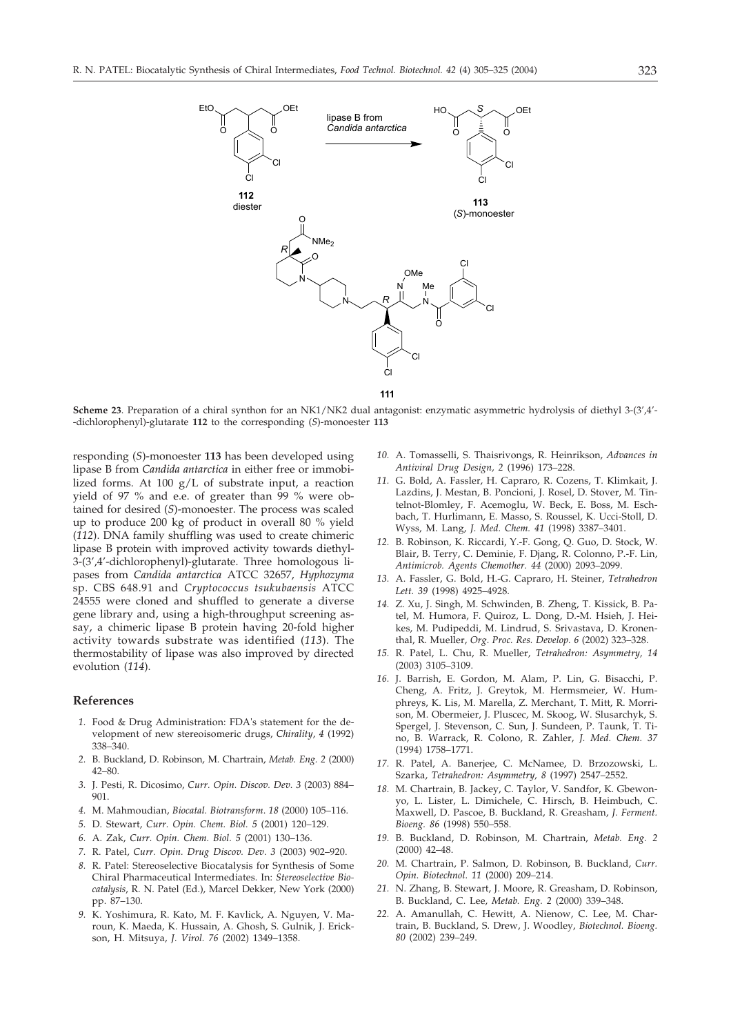

**Scheme 23**. Preparation of a chiral synthon for an NK1/NK2 dual antagonist: enzymatic asymmetric hydrolysis of diethyl 3-(3',4'- -dichlorophenyl)-glutarate **112** to the corresponding (*S*)-monoester **113**

responding (*S*)-monoester **113** has been developed using lipase B from *Candida antarctica* in either free or immobilized forms. At 100  $g/L$  of substrate input, a reaction yield of 97 % and e.e. of greater than 99 % were obtained for desired (*S*)-monoester. The process was scaled up to produce 200 kg of product in overall 80 % yield (*112*). DNA family shuffling was used to create chimeric lipase B protein with improved activity towards diethyl-3-(3',4'-dichlorophenyl)-glutarate. Three homologous lipases from *Candida antarctica* ATCC 32657, *Hyphozyma* sp. CBS 648.91 and *Cryptococcus tsukubaensis* ATCC 24555 were cloned and shuffled to generate a diverse gene library and, using a high-throughput screening assay, a chimeric lipase B protein having 20-fold higher activity towards substrate was identified (*113*). The thermostability of lipase was also improved by directed evolution (*114*).

### **References**

- *1.* Food & Drug Administration: FDA's statement for the development of new stereoisomeric drugs, *Chirality*, *4* (1992) 338–340.
- *2.* B. Buckland, D. Robinson, M. Chartrain, *Metab. Eng. 2* (2000) 42–80.
- *3.* J. Pesti, R. Dicosimo, *Curr. Opin. Discov. Dev*. *3* (2003) 884– 901.
- *4.* M. Mahmoudian, *Biocatal. Biotransform*. *18* (2000) 105–116.
- *5.* D. Stewart, *Curr. Opin. Chem. Biol. 5* (2001) 120–129.
- *6.* A. Zak, *Curr. Opin. Chem. Biol. 5* (2001) 130–136.
- *7.* R. Patel, *Curr. Opin. Drug Discov. Dev*. *3* (2003) 902–920.
- *8.* R. Patel: Stereoselective Biocatalysis for Synthesis of Some Chiral Pharmaceutical Intermediates. In: *Stereoselective Biocatalysis*, R. N. Patel (Ed.), Marcel Dekker, New York (2000) pp. 87–130.
- *9.* K. Yoshimura, R. Kato, M. F. Kavlick, A. Nguyen, V. Maroun, K. Maeda, K. Hussain, A. Ghosh, S. Gulnik, J. Erickson, H. Mitsuya, *J. Virol. 76* (2002) 1349–1358.
- *10.* A. Tomasselli, S. Thaisrivongs, R. Heinrikson, *Advances in Antiviral Drug Design, 2* (1996) 173–228.
- *11.* G. Bold, A. Fassler, H. Capraro, R. Cozens, T. Klimkait, J. Lazdins, J. Mestan, B. Poncioni, J. Rosel, D. Stover, M. Tintelnot-Blomley, F. Acemoglu, W. Beck, E. Boss, M. Eschbach, T. Hurlimann, E. Masso, S. Roussel, K. Ucci-Stoll, D. Wyss, M. Lang, *J. Med. Chem. 41* (1998) 3387–3401.
- *12.* B. Robinson, K. Riccardi, Y.-F. Gong, Q. Guo, D. Stock, W. Blair, B. Terry, C. Deminie, F. Djang, R. Colonno, P.-F. Lin, *Antimicrob. Agents Chemother. 44* (2000) 2093–2099.
- *13.* A. Fassler, G. Bold, H.-G. Capraro, H. Steiner, *Tetrahedron Lett. 39* (1998) 4925–4928.
- *14.* Z. Xu, J. Singh, M. Schwinden, B. Zheng, T. Kissick, B. Patel, M. Humora, F. Quiroz, L. Dong, D.-M. Hsieh, J. Heikes, M. Pudipeddi, M. Lindrud, S. Srivastava, D. Kronenthal, R. Mueller, *Org*. *Proc. Res. Develop. 6* (2002) 323–328.
- *15.* R. Patel, L. Chu, R. Mueller, *Tetrahedron: Asymmetry, 14* (2003) 3105–3109.
- *16.* J. Barrish, E. Gordon, M. Alam, P. Lin, G. Bisacchi, P. Cheng, A. Fritz, J. Greytok, M. Hermsmeier, W. Humphreys, K. Lis, M. Marella, Z. Merchant, T. Mitt, R. Morrison, M. Obermeier, J. Pluscec, M. Skoog, W. Slusarchyk, S. Spergel, J. Stevenson, C. Sun, J. Sundeen, P. Taunk, T. Tino, B. Warrack, R. Colono, R. Zahler, *J. Med. Chem. 37* (1994) 1758–1771.
- *17.* R. Patel, A. Banerjee, C. McNamee, D. Brzozowski, L. Szarka, *Tetrahedron: Asymmetry, 8* (1997) 2547–2552.
- *18.* M. Chartrain, B. Jackey, C. Taylor, V. Sandfor, K. Gbewonyo, L. Lister, L. Dimichele, C. Hirsch, B. Heimbuch, C. Maxwell, D. Pascoe, B. Buckland, R. Greasham, *J. Ferment. Bioeng. 86* (1998) 550–558.
- *19.* B. Buckland, D. Robinson, M. Chartrain, *Metab. Eng. 2* (2000) 42–48.
- *20.* M. Chartrain, P. Salmon, D. Robinson, B. Buckland, *Curr. Opin. Biotechnol*. *11* (2000) 209–214.
- *21.* N. Zhang, B. Stewart, J. Moore, R. Greasham, D. Robinson, B. Buckland, C. Lee, *Metab. Eng. 2* (2000) 339–348.
- *22.* A. Amanullah, C. Hewitt, A. Nienow, C. Lee, M. Chartrain, B. Buckland, S. Drew, J. Woodley, *Biotechnol. Bioeng. 80* (2002) 239–249.